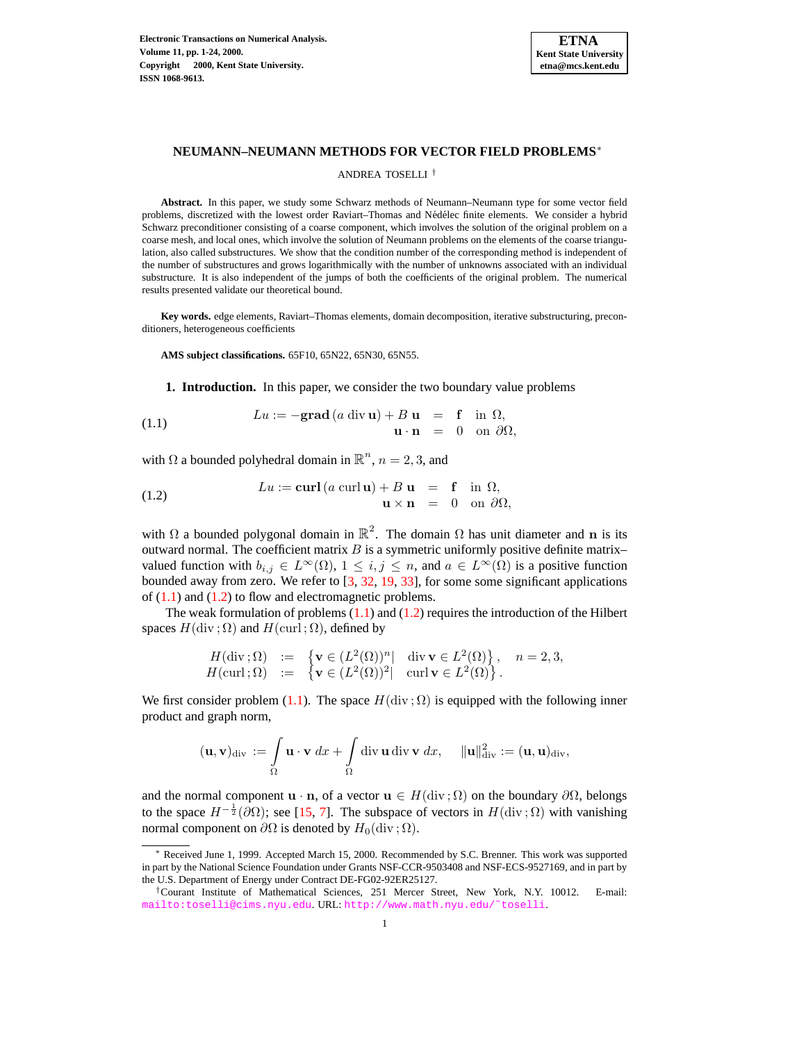

# **NEUMANN–NEUMANN METHODS FOR VECTOR FIELD PROBLEMS**<sup>∗</sup>

### ANDREA TOSELLI †

**Abstract.** In this paper, we study some Schwarz methods of Neumann–Neumann type for some vector field problems, discretized with the lowest order Raviart–Thomas and Nédélec finite elements. We consider a hybrid Schwarz preconditioner consisting of a coarse component, which involves the solution of the original problem on a coarse mesh, and local ones, which involve the solution of Neumann problems on the elements of the coarse triangulation, also called substructures. We show that the condition number of the corresponding method is independent of the number of substructures and grows logarithmically with the number of unknowns associated with an individual substructure. It is also independent of the jumps of both the coefficients of the original problem. The numerical results presented validate our theoretical bound.

**Key words.** edge elements, Raviart–Thomas elements, domain decomposition, iterative substructuring, preconditioners, heterogeneous coefficients

**AMS subject classifications.** 65F10, 65N22, 65N30, 65N55.

**1. Introduction.** In this paper, we consider the two boundary value problems

<span id="page-0-0"></span>(1.1) 
$$
Lu := -\mathbf{grad}\left(a\,\mathrm{div}\,\mathbf{u}\right) + B\,\mathbf{u} = \mathbf{f}\quad\text{in }\Omega,\\ \mathbf{u}\cdot\mathbf{n} = 0\quad\text{on }\partial\Omega,
$$

with  $\Omega$  a bounded polyhedral domain in  $\mathbb{R}^n$ ,  $n = 2, 3$ , and

<span id="page-0-1"></span>(1.2) 
$$
Lu := \mathbf{curl}\left(a\ \mathbf{curl}\ \mathbf{u}\right) + B\ \mathbf{u} = \mathbf{f}\quad\text{in }\Omega,\\ \mathbf{u} \times \mathbf{n} = 0\quad\text{on }\partial\Omega,
$$

with  $\Omega$  a bounded polygonal domain in  $\mathbb{R}^2$ . The domain  $\Omega$  has unit diameter and n is its outward normal. The coefficient matrix  $B$  is a symmetric uniformly positive definite matrixvalued function with  $b_{i,j} \in L^{\infty}(\Omega)$ ,  $1 \leq i,j \leq n$ , and  $a \in L^{\infty}(\Omega)$  is a positive function bounded away from zero. We refer to [\[3,](#page-22-0) [32,](#page-23-0) [19,](#page-23-1) [33\]](#page-23-2), for some some significant applications of  $(1.1)$  and  $(1.2)$  to flow and electromagnetic problems.

The weak formulation of problems  $(1.1)$  and  $(1.2)$  requires the introduction of the Hilbert spaces  $H$ (div;  $\Omega$ ) and  $H$ (curl;  $\Omega$ ), defined by

$$
H(\text{div}\,;\Omega) := \begin{cases} \mathbf{v} \in (L^2(\Omega))^n | & \text{div}\,\mathbf{v} \in L^2(\Omega) \}, & n = 2,3, \\ \mathbf{v} \in (L^2(\Omega))^2 | & \text{curl}\,\mathbf{v} \in L^2(\Omega) \end{cases}, n = 2,3,
$$

We first consider problem [\(1.1\)](#page-0-0). The space  $H(\text{div }; \Omega)$  is equipped with the following inner product and graph norm,

$$
(\mathbf{u},\mathbf{v})_{\text{div}} := \int\limits_{\Omega} \mathbf{u} \cdot \mathbf{v} \, dx + \int\limits_{\Omega} \text{div}\, \mathbf{u} \, \text{div}\, \mathbf{v} \, dx, \quad \|\mathbf{u}\|_{\text{div}}^2 := (\mathbf{u},\mathbf{u})_{\text{div}},
$$

and the normal component  $\mathbf{u} \cdot \mathbf{n}$ , of a vector  $\mathbf{u} \in H(\text{div}; \Omega)$  on the boundary  $\partial\Omega$ , belongs to the space  $H^{-\frac{1}{2}}(\partial\Omega)$ ; see [\[15,](#page-22-1) [7\]](#page-22-2). The subspace of vectors in  $H(\text{div};\Omega)$  with vanishing normal component on  $\partial\Omega$  is denoted by  $H_0(\text{div }\mathcal{R})$ .

<sup>∗</sup> Received June 1, 1999. Accepted March 15, 2000. Recommended by S.C. Brenner. This work was supported in part by the National Science Foundation under Grants NSF-CCR-9503408 and NSF-ECS-9527169, and in part by the U.S. Department of Energy under Contract DE-FG02-92ER25127.

<sup>†</sup>Courant Institute of Mathematical Sciences, 251 Mercer Street, New York, N.Y. 10012. E-mail: <mailto:toselli@cims.nyu.edu>. URL: [http://www.math.nyu.edu/˜toselli](http://www.math.nyu.edu/~toselli).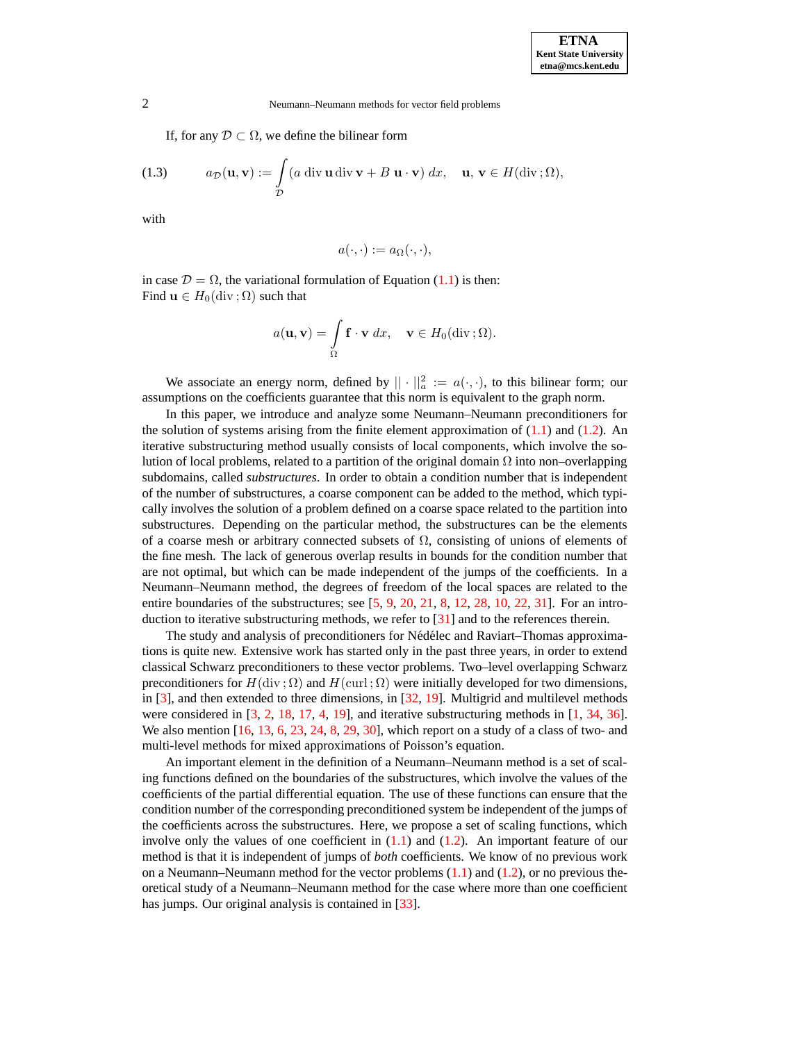If, for any  $\mathcal{D} \subset \Omega$ , we define the bilinear form

<span id="page-1-0"></span>(1.3) 
$$
a_{\mathcal{D}}(\mathbf{u}, \mathbf{v}) := \int_{\mathcal{D}} (a \operatorname{div} \mathbf{u} \operatorname{div} \mathbf{v} + B \mathbf{u} \cdot \mathbf{v}) dx, \quad \mathbf{u}, \mathbf{v} \in H(\operatorname{div}; \Omega),
$$

with

$$
a(\cdot,\cdot):=a_{\Omega}(\cdot,\cdot),
$$

in case  $\mathcal{D} = \Omega$ , the variational formulation of Equation [\(1.1\)](#page-0-0) is then: Find  $\mathbf{u} \in H_0(\text{div}; \Omega)$  such that

$$
a(\mathbf{u}, \mathbf{v}) = \int_{\Omega} \mathbf{f} \cdot \mathbf{v} \, dx, \quad \mathbf{v} \in H_0(\text{div}\,;\Omega).
$$

We associate an energy norm, defined by  $|| \cdot ||_a^2 := a(\cdot, \cdot)$ , to this bilinear form; our assumptions on the coefficients guarantee that this norm is equivalent to the graph norm.

In this paper, we introduce and analyze some Neumann–Neumann preconditioners for the solution of systems arising from the finite element approximation of  $(1.1)$  and  $(1.2)$ . An iterative substructuring method usually consists of local components, which involve the solution of local problems, related to a partition of the original domain  $\Omega$  into non–overlapping subdomains, called *substructures*. In order to obtain a condition number that is independent of the number of substructures, a coarse component can be added to the method, which typically involves the solution of a problem defined on a coarse space related to the partition into substructures. Depending on the particular method, the substructures can be the elements of a coarse mesh or arbitrary connected subsets of  $\Omega$ , consisting of unions of elements of the fine mesh. The lack of generous overlap results in bounds for the condition number that are not optimal, but which can be made independent of the jumps of the coefficients. In a Neumann–Neumann method, the degrees of freedom of the local spaces are related to the entire boundaries of the substructures; see  $[5, 9, 20, 21, 8, 12, 28, 10, 22, 31]$  $[5, 9, 20, 21, 8, 12, 28, 10, 22, 31]$  $[5, 9, 20, 21, 8, 12, 28, 10, 22, 31]$  $[5, 9, 20, 21, 8, 12, 28, 10, 22, 31]$  $[5, 9, 20, 21, 8, 12, 28, 10, 22, 31]$  $[5, 9, 20, 21, 8, 12, 28, 10, 22, 31]$  $[5, 9, 20, 21, 8, 12, 28, 10, 22, 31]$  $[5, 9, 20, 21, 8, 12, 28, 10, 22, 31]$  $[5, 9, 20, 21, 8, 12, 28, 10, 22, 31]$  $[5, 9, 20, 21, 8, 12, 28, 10, 22, 31]$  $[5, 9, 20, 21, 8, 12, 28, 10, 22, 31]$  $[5, 9, 20, 21, 8, 12, 28, 10, 22, 31]$  $[5, 9, 20, 21, 8, 12, 28, 10, 22, 31]$  $[5, 9, 20, 21, 8, 12, 28, 10, 22, 31]$  $[5, 9, 20, 21, 8, 12, 28, 10, 22, 31]$  $[5, 9, 20, 21, 8, 12, 28, 10, 22, 31]$  $[5, 9, 20, 21, 8, 12, 28, 10, 22, 31]$  $[5, 9, 20, 21, 8, 12, 28, 10, 22, 31]$  $[5, 9, 20, 21, 8, 12, 28, 10, 22, 31]$ . For an introduction to iterative substructuring methods, we refer to [\[31\]](#page-23-7) and to the references therein.

The study and analysis of preconditioners for Nédélec and Raviart–Thomas approximations is quite new. Extensive work has started only in the past three years, in order to extend classical Schwarz preconditioners to these vector problems. Two–level overlapping Schwarz preconditioners for  $H(\text{div}; \Omega)$  and  $H(\text{curl}; \Omega)$  were initially developed for two dimensions, in [\[3\]](#page-22-0), and then extended to three dimensions, in [\[32,](#page-23-0) [19\]](#page-23-1). Multigrid and multilevel methods were considered in  $[3, 2, 18, 17, 4, 19]$  $[3, 2, 18, 17, 4, 19]$  $[3, 2, 18, 17, 4, 19]$  $[3, 2, 18, 17, 4, 19]$  $[3, 2, 18, 17, 4, 19]$  $[3, 2, 18, 17, 4, 19]$  $[3, 2, 18, 17, 4, 19]$  $[3, 2, 18, 17, 4, 19]$  $[3, 2, 18, 17, 4, 19]$  $[3, 2, 18, 17, 4, 19]$  $[3, 2, 18, 17, 4, 19]$ , and iterative substructuring methods in  $[1, 34, 36]$  $[1, 34, 36]$  $[1, 34, 36]$  $[1, 34, 36]$  $[1, 34, 36]$ . We also mention  $[16, 13, 6, 23, 24, 8, 29, 30]$  $[16, 13, 6, 23, 24, 8, 29, 30]$  $[16, 13, 6, 23, 24, 8, 29, 30]$  $[16, 13, 6, 23, 24, 8, 29, 30]$  $[16, 13, 6, 23, 24, 8, 29, 30]$  $[16, 13, 6, 23, 24, 8, 29, 30]$  $[16, 13, 6, 23, 24, 8, 29, 30]$  $[16, 13, 6, 23, 24, 8, 29, 30]$  $[16, 13, 6, 23, 24, 8, 29, 30]$  $[16, 13, 6, 23, 24, 8, 29, 30]$  $[16, 13, 6, 23, 24, 8, 29, 30]$  $[16, 13, 6, 23, 24, 8, 29, 30]$  $[16, 13, 6, 23, 24, 8, 29, 30]$  $[16, 13, 6, 23, 24, 8, 29, 30]$  $[16, 13, 6, 23, 24, 8, 29, 30]$ , which report on a study of a class of two- and multi-level methods for mixed approximations of Poisson's equation.

An important element in the definition of a Neumann–Neumann method is a set of scaling functions defined on the boundaries of the substructures, which involve the values of the coefficients of the partial differential equation. The use of these functions can ensure that the condition number of the corresponding preconditioned system be independent of the jumps of the coefficients across the substructures. Here, we propose a set of scaling functions, which involve only the values of one coefficient in  $(1.1)$  and  $(1.2)$ . An important feature of our method is that it is independent of jumps of *both* coefficients. We know of no previous work on a Neumann–Neumann method for the vector problems  $(1.1)$  and  $(1.2)$ , or no previous theoretical study of a Neumann–Neumann method for the case where more than one coefficient has jumps. Our original analysis is contained in [\[33\]](#page-23-2).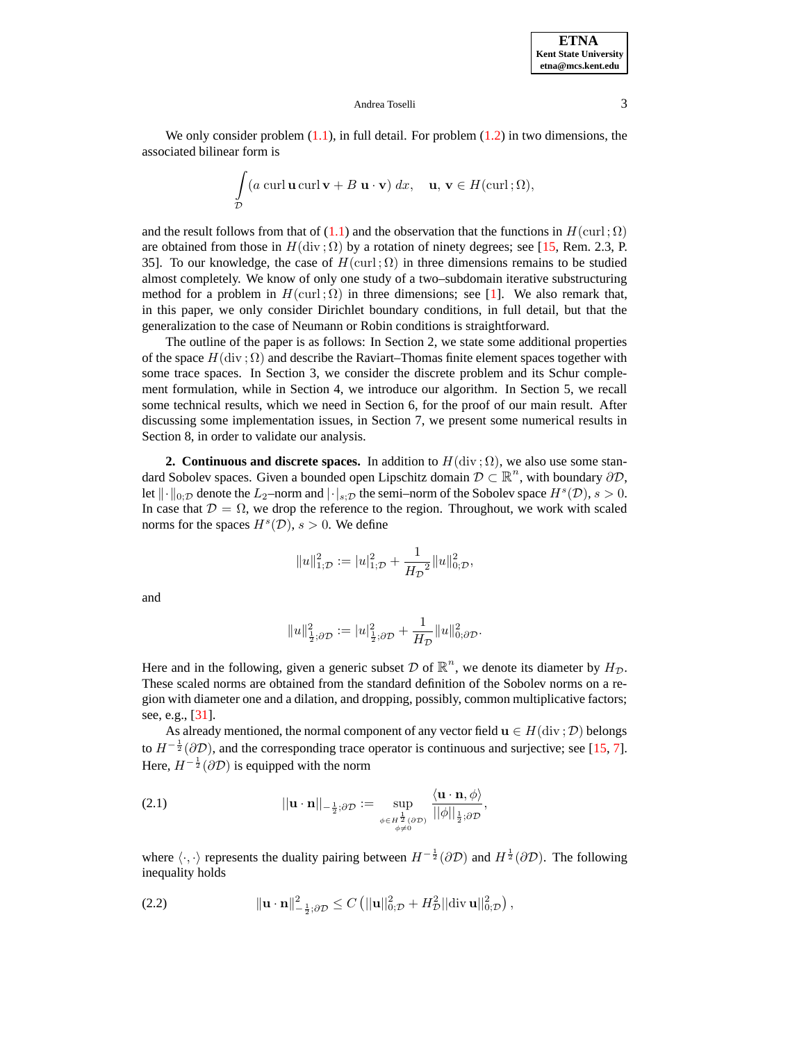We only consider problem  $(1.1)$ , in full detail. For problem  $(1.2)$  in two dimensions, the associated bilinear form is

$$
\int_{\mathcal{D}} (a \operatorname{curl} \mathbf{u} \operatorname{curl} \mathbf{v} + B \mathbf{u} \cdot \mathbf{v}) dx, \quad \mathbf{u}, \mathbf{v} \in H(\operatorname{curl}; \Omega),
$$

and the result follows from that of [\(1.1\)](#page-0-0) and the observation that the functions in  $H(\text{curl };\Omega)$ are obtained from those in  $H(\text{div}; \Omega)$  by a rotation of ninety degrees; see [\[15,](#page-22-1) Rem. 2.3, P. 35]. To our knowledge, the case of  $H(\text{curl}; \Omega)$  in three dimensions remains to be studied almost completely. We know of only one study of a two–subdomain iterative substructuring method for a problem in  $H(\text{curl };\Omega)$  in three dimensions; see [\[1\]](#page-22-10). We also remark that, in this paper, we only consider Dirichlet boundary conditions, in full detail, but that the generalization to the case of Neumann or Robin conditions is straightforward.

The outline of the paper is as follows: In Section 2, we state some additional properties of the space  $H(\text{div}; \Omega)$  and describe the Raviart–Thomas finite element spaces together with some trace spaces. In Section 3, we consider the discrete problem and its Schur complement formulation, while in Section 4, we introduce our algorithm. In Section 5, we recall some technical results, which we need in Section 6, for the proof of our main result. After discussing some implementation issues, in Section 7, we present some numerical results in Section 8, in order to validate our analysis.

<span id="page-2-0"></span>**2. Continuous** and **discrete** spaces. In addition to  $H(\text{div} : \Omega)$ , we also use some standard Sobolev spaces. Given a bounded open Lipschitz domain  $\mathcal{D} \subset \mathbb{R}^n$ , with boundary  $\partial \mathcal{D}$ , let  $\|\cdot\|_{0;\mathcal{D}}$  denote the  $L_2$ –norm and  $|\cdot|_{s;\mathcal{D}}$  the semi–norm of the Sobolev space  $H^s(\mathcal{D}), s > 0$ . In case that  $\mathcal{D} = \Omega$ , we drop the reference to the region. Throughout, we work with scaled norms for the spaces  $H^s(\mathcal{D})$ ,  $s > 0$ . We define

$$
\|u\|_{1;\mathcal{D}}^2:=|u|_{1;\mathcal{D}}^2+\frac{1}{H_{\mathcal{D}}^2}\|u\|_{0;\mathcal{D}}^2,
$$

and

$$
||u||_{\frac{1}{2};\partial \mathcal{D}}^2 := |u|_{\frac{1}{2};\partial \mathcal{D}}^2 + \frac{1}{H_{\mathcal{D}}} ||u||_{0;\partial \mathcal{D}}^2.
$$

Here and in the following, given a generic subset  $D$  of  $\mathbb{R}^n$ , we denote its diameter by  $H_{\mathcal{D}}$ . These scaled norms are obtained from the standard definition of the Sobolev norms on a region with diameter one and a dilation, and dropping, possibly, common multiplicative factors; see, e.g., [\[31\]](#page-23-7).

As already mentioned, the normal component of any vector field  $\mathbf{u} \in H(\text{div}; \mathcal{D})$  belongs to  $H^{-\frac{1}{2}}(\partial \mathcal{D})$ , and the corresponding trace operator is continuous and surjective; see [\[15,](#page-22-1) [7\]](#page-22-2). Here,  $H^{-\frac{1}{2}}(\partial \mathcal{D})$  is equipped with the norm

(2.1) 
$$
||\mathbf{u} \cdot \mathbf{n}||_{-\frac{1}{2};\partial \mathcal{D}} := \sup_{\substack{\phi \in H^{\frac{1}{2}}(\partial \mathcal{D}) \\ \phi \neq 0}} \frac{\langle \mathbf{u} \cdot \mathbf{n}, \phi \rangle}{||\phi||_{\frac{1}{2};\partial \mathcal{D}}},
$$

where  $\langle \cdot, \cdot \rangle$  represents the duality pairing between  $H^{-\frac{1}{2}}(\partial \mathcal{D})$  and  $H^{\frac{1}{2}}(\partial \mathcal{D})$ . The following inequality holds

<span id="page-2-1"></span>(2.2) 
$$
\|\mathbf{u} \cdot \mathbf{n}\|_{-\frac{1}{2};\partial \mathcal{D}}^2 \leq C \left( ||\mathbf{u}||_{0;\mathcal{D}}^2 + H_{\mathcal{D}}^2 ||\text{div} \,\mathbf{u}||_{0;\mathcal{D}}^2 \right),
$$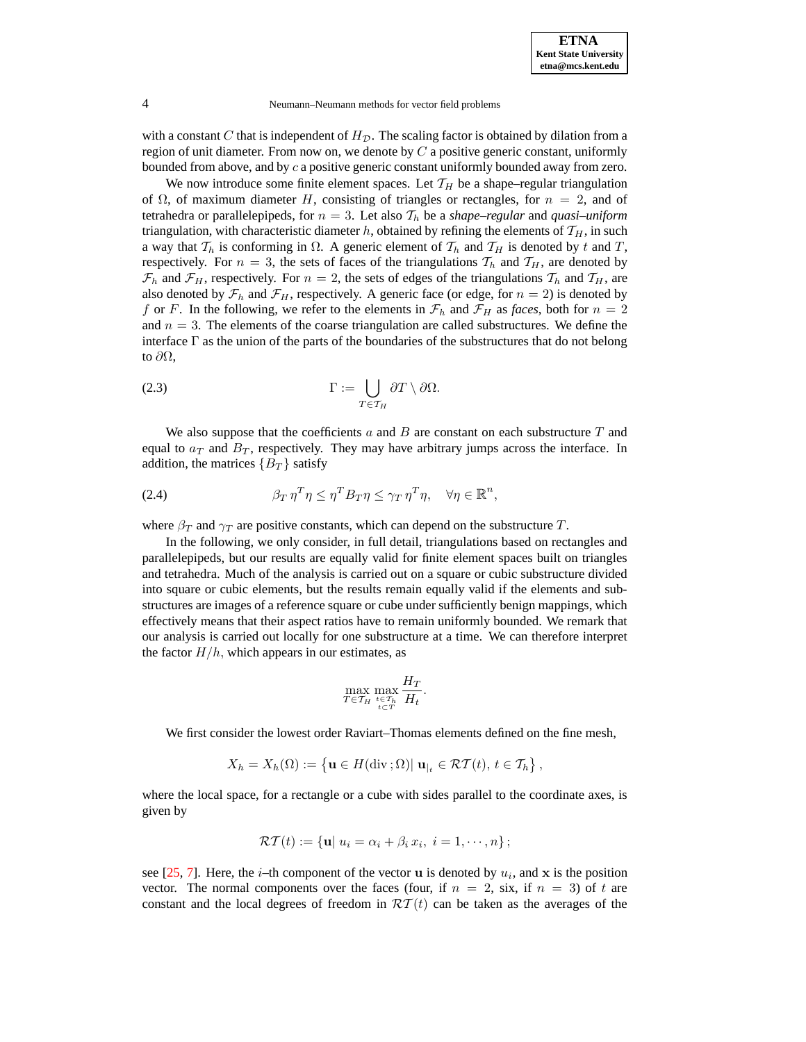with a constant  $C$  that is independent of  $H<sub>D</sub>$ . The scaling factor is obtained by dilation from a region of unit diameter. From now on, we denote by  $C$  a positive generic constant, uniformly bounded from above, and by  $c$  a positive generic constant uniformly bounded away from zero.

We now introduce some finite element spaces. Let  $\mathcal{T}_H$  be a shape–regular triangulation of  $\Omega$ , of maximum diameter H, consisting of triangles or rectangles, for  $n = 2$ , and of tetrahedra or parallelepipeds, for  $n = 3$ . Let also  $\mathcal{T}_h$  be a *shape–regular* and *quasi–uniform* triangulation, with characteristic diameter h, obtained by refining the elements of  $\mathcal{T}_H$ , in such a way that  $\mathcal{T}_h$  is conforming in  $\Omega$ . A generic element of  $\mathcal{T}_h$  and  $\mathcal{T}_H$  is denoted by t and T, respectively. For  $n = 3$ , the sets of faces of the triangulations  $T_h$  and  $T_H$ , are denoted by  $\mathcal{F}_h$  and  $\mathcal{F}_H$ , respectively. For  $n = 2$ , the sets of edges of the triangulations  $\mathcal{T}_h$  and  $\mathcal{T}_H$ , are also denoted by  $\mathcal{F}_h$  and  $\mathcal{F}_H$ , respectively. A generic face (or edge, for  $n = 2$ ) is denoted by f or F. In the following, we refer to the elements in  $\mathcal{F}_h$  and  $\mathcal{F}_H$  as *faces*, both for  $n = 2$ and  $n = 3$ . The elements of the coarse triangulation are called substructures. We define the interface  $\Gamma$  as the union of the parts of the boundaries of the substructures that do not belong to  $\partial\Omega$ ,

<span id="page-3-0"></span>(2.3) 
$$
\Gamma := \bigcup_{T \in \mathcal{T}_H} \partial T \setminus \partial \Omega.
$$

We also suppose that the coefficients  $a$  and  $B$  are constant on each substructure  $T$  and equal to  $a_T$  and  $B_T$ , respectively. They may have arbitrary jumps across the interface. In addition, the matrices  ${B_T}$  satisfy

<span id="page-3-1"></span>(2.4) 
$$
\beta_T \eta^T \eta \leq \eta^T B_T \eta \leq \gamma_T \eta^T \eta, \quad \forall \eta \in \mathbb{R}^n,
$$

where  $\beta_T$  and  $\gamma_T$  are positive constants, which can depend on the substructure T.

In the following, we only consider, in full detail, triangulations based on rectangles and parallelepipeds, but our results are equally valid for finite element spaces built on triangles and tetrahedra. Much of the analysis is carried out on a square or cubic substructure divided into square or cubic elements, but the results remain equally valid if the elements and substructures are images of a reference square or cube under sufficiently benign mappings, which effectively means that their aspect ratios have to remain uniformly bounded. We remark that our analysis is carried out locally for one substructure at a time. We can therefore interpret the factor  $H/h$ , which appears in our estimates, as

$$
\max_{T \in \mathcal{T}_H} \max_{\substack{t \in \mathcal{T}_h \\ t \subset T}} \frac{H_T}{H_t}.
$$

We first consider the lowest order Raviart–Thomas elements defined on the fine mesh,

$$
X_h = X_h(\Omega) := \left\{ \mathbf{u} \in H(\text{div}\,;\Omega) | \mathbf{u}_{|_t} \in \mathcal{RT}(t), t \in \mathcal{T}_h \right\},\
$$

where the local space, for a rectangle or a cube with sides parallel to the coordinate axes, is given by

$$
\mathcal{RT}(t) := \{ \mathbf{u} | u_i = \alpha_i + \beta_i x_i, \ i = 1, \cdots, n \};
$$

see [\[25,](#page-23-16) [7\]](#page-22-2). Here, the *i*-th component of the vector **u** is denoted by  $u_i$ , and **x** is the position vector. The normal components over the faces (four, if  $n = 2$ , six, if  $n = 3$ ) of t are constant and the local degrees of freedom in  $\mathcal{RT}(t)$  can be taken as the averages of the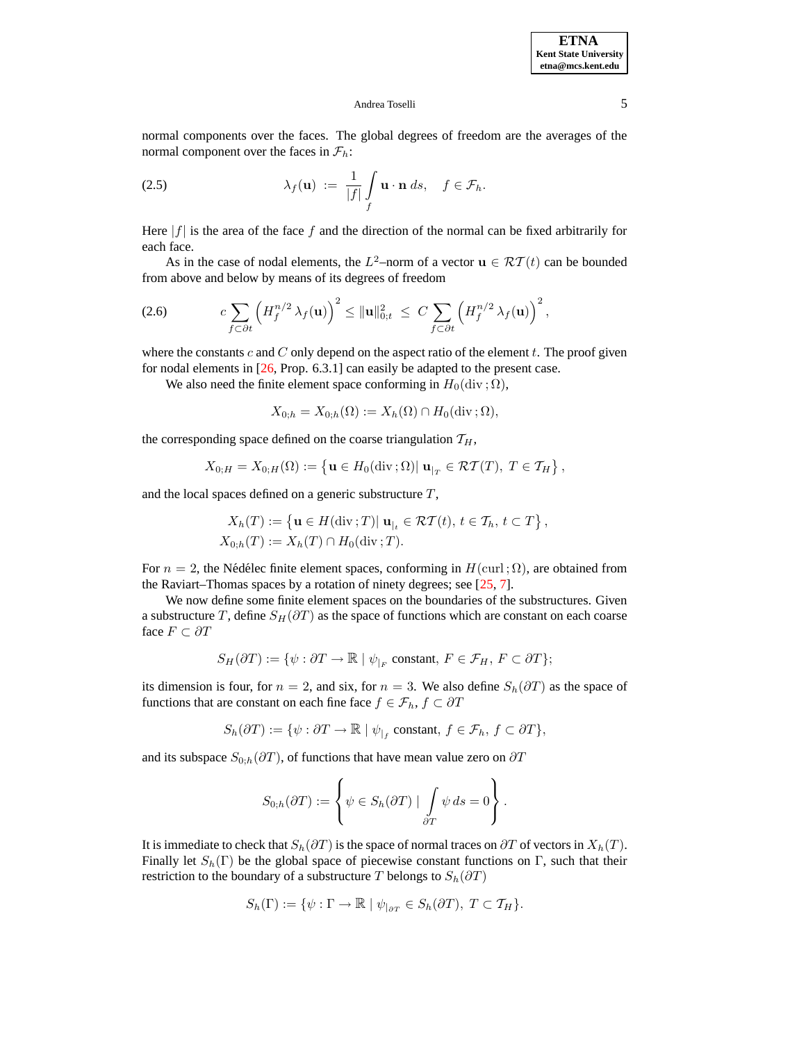normal components over the faces. The global degrees of freedom are the averages of the normal component over the faces in  $\mathcal{F}_h$ :

(2.5) 
$$
\lambda_f(\mathbf{u}) := \frac{1}{|f|} \int\limits_f \mathbf{u} \cdot \mathbf{n} \, ds, \quad f \in \mathcal{F}_h.
$$

Here  $|f|$  is the area of the face f and the direction of the normal can be fixed arbitrarily for each face.

As in the case of nodal elements, the  $L^2$ -norm of a vector  $\mathbf{u} \in \mathcal{RT}(t)$  can be bounded from above and below by means of its degrees of freedom

<span id="page-4-0"></span>
$$
(2.6) \t c \sum_{f \subset \partial t} \left( H_f^{n/2} \lambda_f(\mathbf{u}) \right)^2 \leq \|\mathbf{u}\|_{0,t}^2 \leq C \sum_{f \subset \partial t} \left( H_f^{n/2} \lambda_f(\mathbf{u}) \right)^2,
$$

where the constants  $c$  and  $C$  only depend on the aspect ratio of the element  $t$ . The proof given for nodal elements in [\[26,](#page-23-17) Prop. 6.3.1] can easily be adapted to the present case.

We also need the finite element space conforming in  $H_0(\text{div }; \Omega)$ ,

$$
X_{0,h} = X_{0,h}(\Omega) := X_h(\Omega) \cap H_0(\text{div}\,;\Omega),
$$

the corresponding space defined on the coarse triangulation  $T_H$ ,

$$
X_{0;H} = X_{0;H}(\Omega) := \left\{ \mathbf{u} \in H_0(\text{div}\,;\Omega) | \mathbf{u}_{|_T} \in \mathcal{RT}(T), \ T \in \mathcal{T}_H \right\},
$$

and the local spaces defined on a generic substructure T,

$$
X_h(T) := \left\{ \mathbf{u} \in H(\text{div}\,;T) | \mathbf{u}_{|_t} \in \mathcal{RT}(t), t \in \mathcal{T}_h, t \subset T \right\},
$$
  

$$
X_{0,h}(T) := X_h(T) \cap H_0(\text{div}\,;T).
$$

For  $n = 2$ , the Nédélec finite element spaces, conforming in  $H(\text{curl };\Omega)$ , are obtained from the Raviart–Thomas spaces by a rotation of ninety degrees; see [\[25,](#page-23-16) [7\]](#page-22-2).

We now define some finite element spaces on the boundaries of the substructures. Given a substructure T, define  $S_H(\partial T)$  as the space of functions which are constant on each coarse face  $F \subset \partial T$ 

$$
S_H(\partial T) := \{ \psi : \partial T \to \mathbb{R} \mid \psi_{|_F} \text{ constant, } F \in \mathcal{F}_H, F \subset \partial T \};
$$

its dimension is four, for  $n = 2$ , and six, for  $n = 3$ . We also define  $S_h(\partial T)$  as the space of functions that are constant on each fine face  $f \in \mathcal{F}_h$ ,  $f \subset \partial T$ 

$$
S_h(\partial T) := \{ \psi : \partial T \to \mathbb{R} \mid \psi_{|_f} \text{ constant, } f \in \mathcal{F}_h, f \subset \partial T \},
$$

and its subspace  $S_{0,h}(\partial T)$ , of functions that have mean value zero on  $\partial T$ 

$$
S_{0,h}(\partial T) := \left\{ \psi \in S_h(\partial T) \mid \int_{\partial T} \psi ds = 0 \right\}.
$$

It is immediate to check that  $S_h(\partial T)$  is the space of normal traces on  $\partial T$  of vectors in  $X_h(T)$ . Finally let  $S_h(\Gamma)$  be the global space of piecewise constant functions on Γ, such that their restriction to the boundary of a substructure T belongs to  $S_h(\partial T)$ 

$$
S_h(\Gamma) := \{ \psi : \Gamma \to \mathbb{R} \mid \psi_{|_{\partial T}} \in S_h(\partial T), T \subset \mathcal{T}_H \}.
$$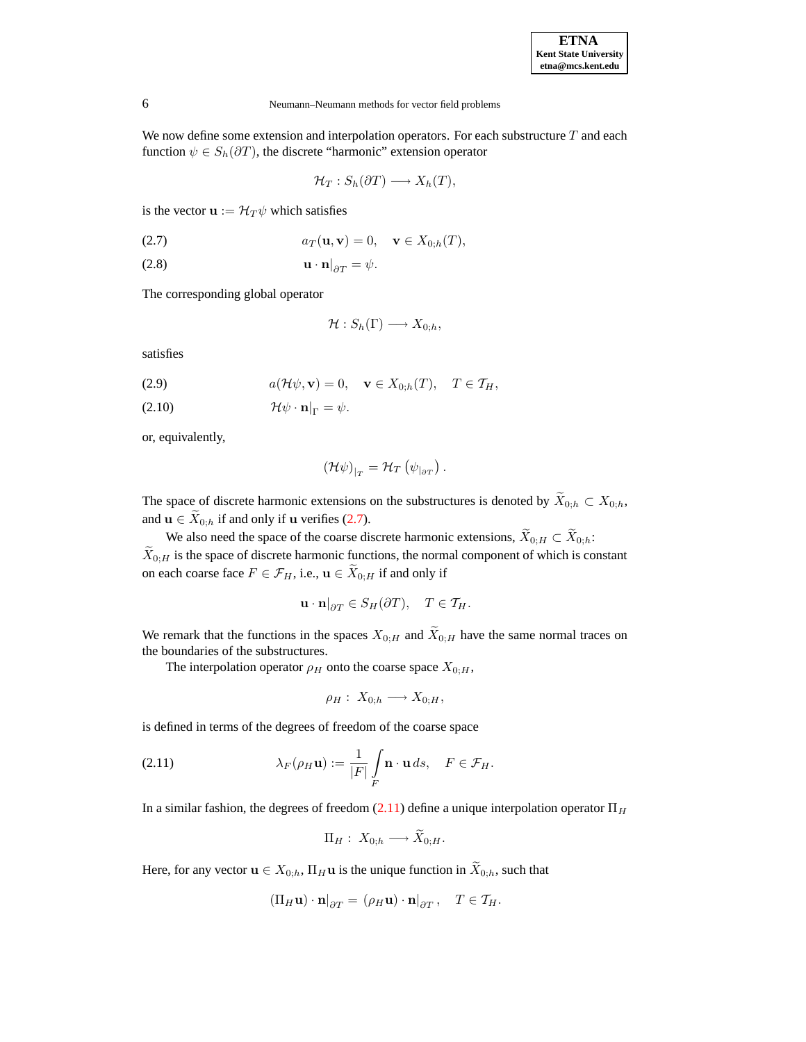We now define some extension and interpolation operators. For each substructure  $T$  and each function  $\psi \in S_h(\partial T)$ , the discrete "harmonic" extension operator

$$
\mathcal{H}_T: S_h(\partial T) \longrightarrow X_h(T),
$$

is the vector  $\mathbf{u} := \mathcal{H}_T \psi$  which satisfies

<span id="page-5-0"></span>(2.7)  $a_T(\mathbf{u}, \mathbf{v}) = 0, \quad \mathbf{v} \in X_{0:h}(T),$ 

$$
\mathbf{u} \cdot \mathbf{n}|_{\partial T} = \psi.
$$

The corresponding global operator

$$
\mathcal{H}:S_h(\Gamma)\longrightarrow X_{0;h},
$$

satisfies

(2.9) 
$$
a(\mathcal{H}\psi,\mathbf{v})=0, \quad \mathbf{v}\in X_{0,h}(T), \quad T\in\mathcal{T}_H,
$$

$$
(2.10) \t\t\t\t\t\mathcal{H}\psi \cdot \mathbf{n}|_{\Gamma} = \psi.
$$

or, equivalently,

$$
\left(\mathcal{H}\psi\right)_{|_{T}}=\mathcal{H}_{T}\left(\psi_{|\partial T}\right).
$$

The space of discrete harmonic extensions on the substructures is denoted by  $\widetilde{X}_{0:h} \subset X_{0:h}$ , and  $\mathbf{u} \in \widetilde{X}_{0,h}$  if and only if  $\mathbf{u}$  verifies [\(2.7\)](#page-5-0).

We also need the space of the coarse discrete harmonic extensions,  $\widetilde{X}_{0;H} \subset \widetilde{X}_{0;h}$ :  $\widetilde{X}_{0;H}$  is the space of discrete harmonic functions, the normal component of which is constant on each coarse face  $F \in \mathcal{F}_H$ , i.e.,  $\mathbf{u} \in \widetilde{X}_{0;H}$  if and only if

$$
\mathbf{u} \cdot \mathbf{n}|_{\partial T} \in S_H(\partial T), \quad T \in \mathcal{T}_H.
$$

We remark that the functions in the spaces  $X_{0;H}$  and  $\widetilde{X}_{0;H}$  have the same normal traces on the boundaries of the substructures.

The interpolation operator  $\rho_H$  onto the coarse space  $X_{0:H}$ ,

$$
\rho_H: X_{0;h} \longrightarrow X_{0;H},
$$

is defined in terms of the degrees of freedom of the coarse space

<span id="page-5-1"></span>(2.11) 
$$
\lambda_F(\rho_H \mathbf{u}) := \frac{1}{|F|} \int\limits_F \mathbf{n} \cdot \mathbf{u} \, ds, \quad F \in \mathcal{F}_H.
$$

In a similar fashion, the degrees of freedom [\(2.11\)](#page-5-1) define a unique interpolation operator  $\Pi_H$ 

$$
\Pi_H: X_{0,h} \longrightarrow X_{0,H}.
$$

 $\sim$ 

Here, for any vector  $\mathbf{u} \in X_{0,h}$ ,  $\Pi_H \mathbf{u}$  is the unique function in  $\widetilde{X}_{0,h}$ , such that

$$
(\Pi_H \mathbf{u}) \cdot \mathbf{n}|_{\partial T} = (\rho_H \mathbf{u}) \cdot \mathbf{n}|_{\partial T}, \quad T \in \mathcal{T}_H.
$$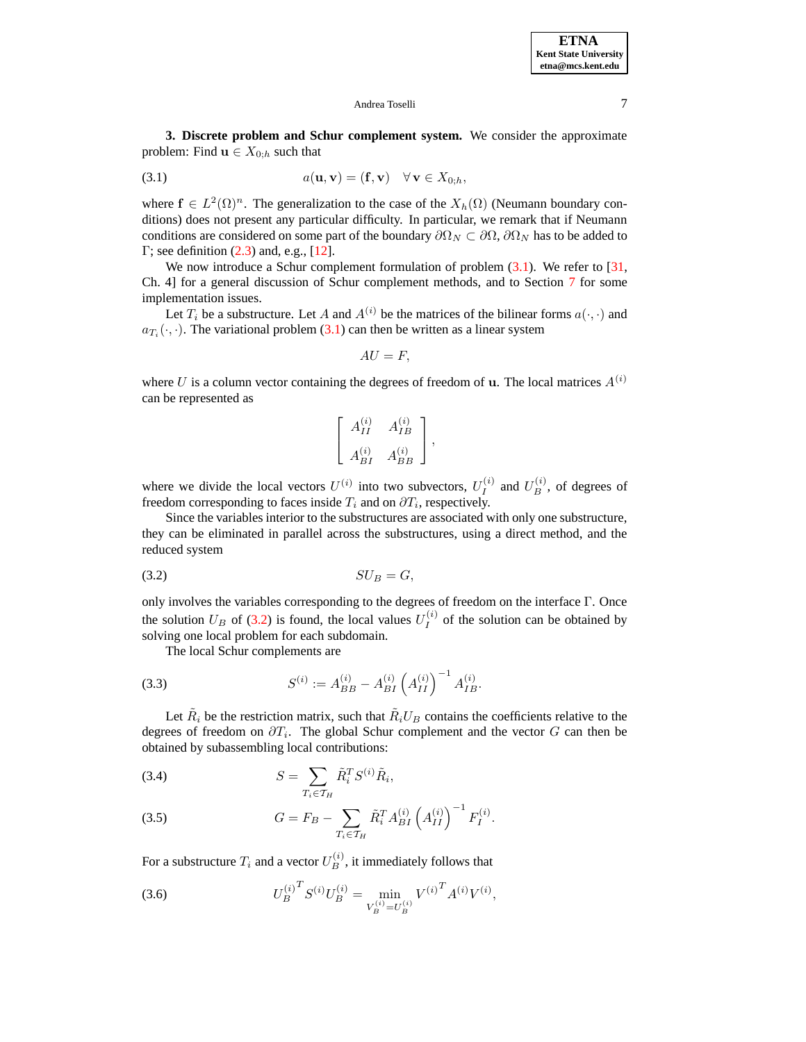**3. Discrete problem and Schur complement system.** We consider the approximate problem: Find  $\mathbf{u} \in X_{0,h}$  such that

<span id="page-6-0"></span>(3.1) 
$$
a(\mathbf{u}, \mathbf{v}) = (\mathbf{f}, \mathbf{v}) \quad \forall \mathbf{v} \in X_{0; h},
$$

where  $f \in L^2(\Omega)^n$ . The generalization to the case of the  $X_h(\Omega)$  (Neumann boundary conditions) does not present any particular difficulty. In particular, we remark that if Neumann conditions are considered on some part of the boundary  $\partial \Omega_N \subset \partial \Omega$ ,  $\partial \Omega_N$  has to be added to  $\Gamma$ ; see definition [\(2.3\)](#page-3-0) and, e.g., [\[12\]](#page-22-6).

We now introduce a Schur complement formulation of problem  $(3.1)$ . We refer to [\[31,](#page-23-7) Ch. 4] for a general discussion of Schur complement methods, and to Section [7](#page-18-0) for some implementation issues.

Let  $T_i$  be a substructure. Let A and  $A^{(i)}$  be the matrices of the bilinear forms  $a(\cdot, \cdot)$  and  $a_{T_i}(\cdot, \cdot)$ . The variational problem [\(3.1\)](#page-6-0) can then be written as a linear system

$$
AU=F,
$$

where U is a column vector containing the degrees of freedom of u. The local matrices  $A^{(i)}$ can be represented as

$$
\left[\begin{array}{cc} A_{II}^{(i)} & A_{IB}^{(i)} \\ A_{BI}^{(i)} & A_{BB}^{(i)} \end{array}\right],
$$

where we divide the local vectors  $U^{(i)}$  into two subvectors,  $U_I^{(i)}$  $U_B^{(i)}$  and  $U_B^{(i)}$ , of degrees of freedom corresponding to faces inside  $T_i$  and on  $\partial T_i$ , respectively.

Since the variables interior to the substructures are associated with only one substructure, they can be eliminated in parallel across the substructures, using a direct method, and the reduced system

<span id="page-6-1"></span>
$$
(3.2) \t SU_B = G,
$$

only involves the variables corresponding to the degrees of freedom on the interface Γ. Once the solution  $U_B$  of [\(3.2\)](#page-6-1) is found, the local values  $U_I^{(i)}$  $I_I^{(i)}$  of the solution can be obtained by solving one local problem for each subdomain.

<span id="page-6-4"></span>The local Schur complements are

(3.3) 
$$
S^{(i)} := A_{BB}^{(i)} - A_{BI}^{(i)} \left( A_{II}^{(i)} \right)^{-1} A_{IB}^{(i)}.
$$

Let  $\tilde{R}_i$  be the restriction matrix, such that  $\tilde{R}_i U_B$  contains the coefficients relative to the degrees of freedom on  $\partial T_i$ . The global Schur complement and the vector G can then be obtained by subassembling local contributions:

<span id="page-6-3"></span>
$$
(3.4) \t\t S = \sum_{T_i \in \mathcal{T}_H} \tilde{R}_i^T S^{(i)} \tilde{R}_i,
$$

(3.5) 
$$
G = F_B - \sum_{T_i \in \mathcal{T}_H} \tilde{R}_i^T A_{BI}^{(i)} \left( A_{II}^{(i)} \right)^{-1} F_I^{(i)}.
$$

For a substructure  $T_i$  and a vector  $U_B^{(i)}$ , it immediately follows that

<span id="page-6-2"></span>(3.6) 
$$
U_B^{(i)}^T S^{(i)} U_B^{(i)} = \min_{V_B^{(i)} = U_B^{(i)}} V^{(i)}^T A^{(i)} V^{(i)},
$$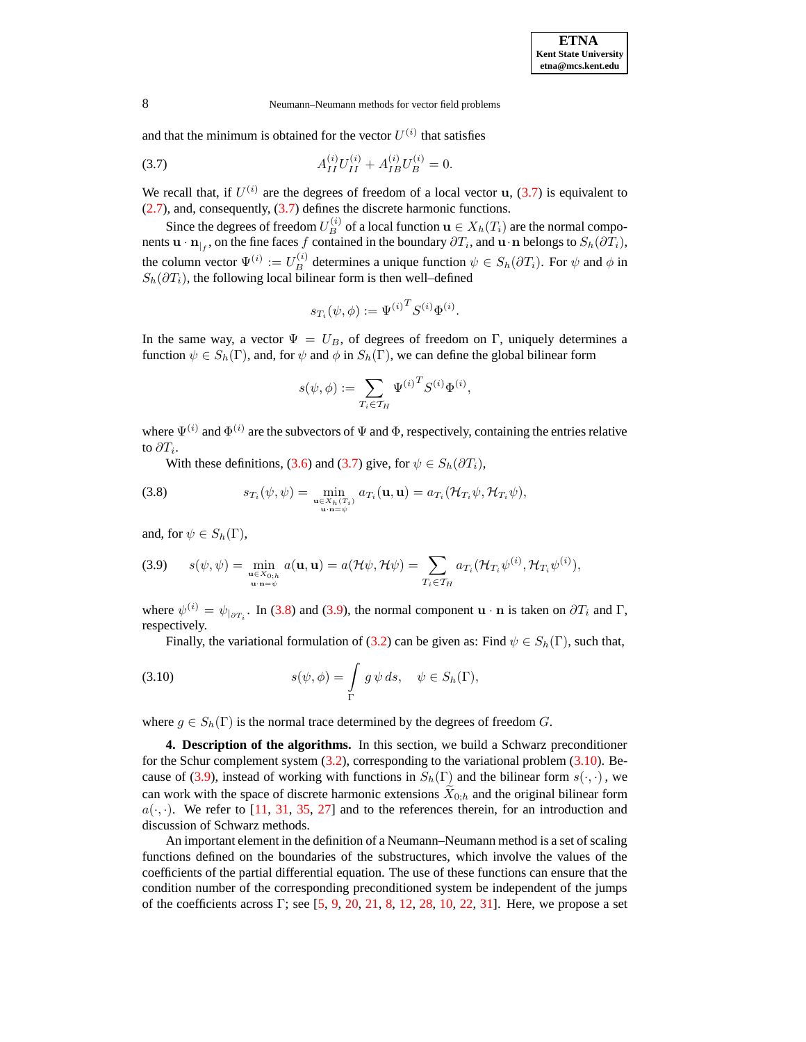and that the minimum is obtained for the vector  $U^{(i)}$  that satisfies

<span id="page-7-0"></span>(3.7) 
$$
A_{II}^{(i)}U_{II}^{(i)} + A_{IB}^{(i)}U_{B}^{(i)} = 0.
$$

We recall that, if  $U^{(i)}$  are the degrees of freedom of a local vector  $\mathbf{u}$ , [\(3.7\)](#page-7-0) is equivalent to [\(2.7\)](#page-5-0), and, consequently, [\(3.7\)](#page-7-0) defines the discrete harmonic functions.

Since the degrees of freedom  $U_B^{(i)}$  of a local function  $\mathbf{u}\in X_h(T_i)$  are the normal components  $\mathbf{u} \cdot \mathbf{n}_{|f}$ , on the fine faces f contained in the boundary  $\partial T_i$ , and  $\mathbf{u} \cdot \mathbf{n}$  belongs to  $S_h(\partial T_i)$ , the column vector  $\Psi^{(i)} := U_B^{(i)}$  determines a unique function  $\psi \in S_h(\partial T_i)$ . For  $\psi$  and  $\phi$  in  $S_h(\partial T_i)$ , the following local bilinear form is then well–defined

$$
s_{T_i}(\psi, \phi) := \Psi^{(i)^T} S^{(i)} \Phi^{(i)}.
$$

In the same way, a vector  $\Psi = U_B$ , of degrees of freedom on Γ, uniquely determines a function  $\psi \in S_h(\Gamma)$ , and, for  $\psi$  and  $\phi$  in  $S_h(\Gamma)$ , we can define the global bilinear form

$$
s(\psi, \phi) := \sum_{T_i \in \mathcal{T}_H} {\Psi^{(i)}}^T S^{(i)} \Phi^{(i)},
$$

where  $\Psi^{(i)}$  and  $\Phi^{(i)}$  are the subvectors of  $\Psi$  and  $\Phi$ , respectively, containing the entries relative to  $\partial T_i$ .

With these definitions, [\(3.6\)](#page-6-2) and [\(3.7\)](#page-7-0) give, for  $\psi \in S_h(\partial T_i)$ ,

<span id="page-7-1"></span>(3.8) 
$$
s_{T_i}(\psi, \psi) = \min_{\substack{\mathbf{u} \in X_h(T_i) \\ \mathbf{u} \cdot \mathbf{n} = \psi}} a_{T_i}(\mathbf{u}, \mathbf{u}) = a_{T_i}(\mathcal{H}_{T_i}\psi, \mathcal{H}_{T_i}\psi),
$$

and, for  $\psi \in S_h(\Gamma)$ ,

<span id="page-7-2"></span>
$$
(3.9) \qquad s(\psi,\psi)=\min_{\substack{\mathbf{u}\in X_{0;h}\\ \mathbf{u}\cdot\mathbf{n}=\psi}}a(\mathbf{u},\mathbf{u})=a(\mathcal{H}\psi,\mathcal{H}\psi)=\sum_{T_i\in\mathcal{T}_H}a_{T_i}(\mathcal{H}_{T_i}\psi^{(i)},\mathcal{H}_{T_i}\psi^{(i)}),
$$

where  $\psi^{(i)} = \psi_{|\partial T_i}$ . In [\(3.8\)](#page-7-1) and [\(3.9\)](#page-7-2), the normal component  $\mathbf{u} \cdot \mathbf{n}$  is taken on  $\partial T_i$  and  $\Gamma$ , respectively.

<span id="page-7-3"></span>Finally, the variational formulation of [\(3.2\)](#page-6-1) can be given as: Find  $\psi \in S_h(\Gamma)$ , such that,

(3.10) 
$$
s(\psi, \phi) = \int\limits_{\Gamma} g \psi ds, \quad \psi \in S_h(\Gamma),
$$

<span id="page-7-4"></span>where  $g \in S_h(\Gamma)$  is the normal trace determined by the degrees of freedom G.

**4. Description of the algorithms.** In this section, we build a Schwarz preconditioner for the Schur complement system [\(3.2\)](#page-6-1), corresponding to the variational problem [\(3.10\)](#page-7-3). Be-cause of [\(3.9\)](#page-7-2), instead of working with functions in  $S_h(\Gamma)$  and the bilinear form  $s(\cdot, \cdot)$ , we can work with the space of discrete harmonic extensions  $X_{0,h}$  and the original bilinear form  $a(\cdot, \cdot)$ . We refer to [\[11,](#page-22-14) [31,](#page-23-7) [35,](#page-23-18) [27\]](#page-23-19) and to the references therein, for an introduction and discussion of Schwarz methods.

An important element in the definition of a Neumann–Neumann method is a set of scaling functions defined on the boundaries of the substructures, which involve the values of the coefficients of the partial differential equation. The use of these functions can ensure that the condition number of the corresponding preconditioned system be independent of the jumps of the coefficients across Γ; see [\[5,](#page-22-3) [9,](#page-22-4) [20,](#page-23-3) [21,](#page-23-4) [8,](#page-22-5) [12,](#page-22-6) [28,](#page-23-5) [10,](#page-22-7) [22,](#page-23-6) [31\]](#page-23-7). Here, we propose a set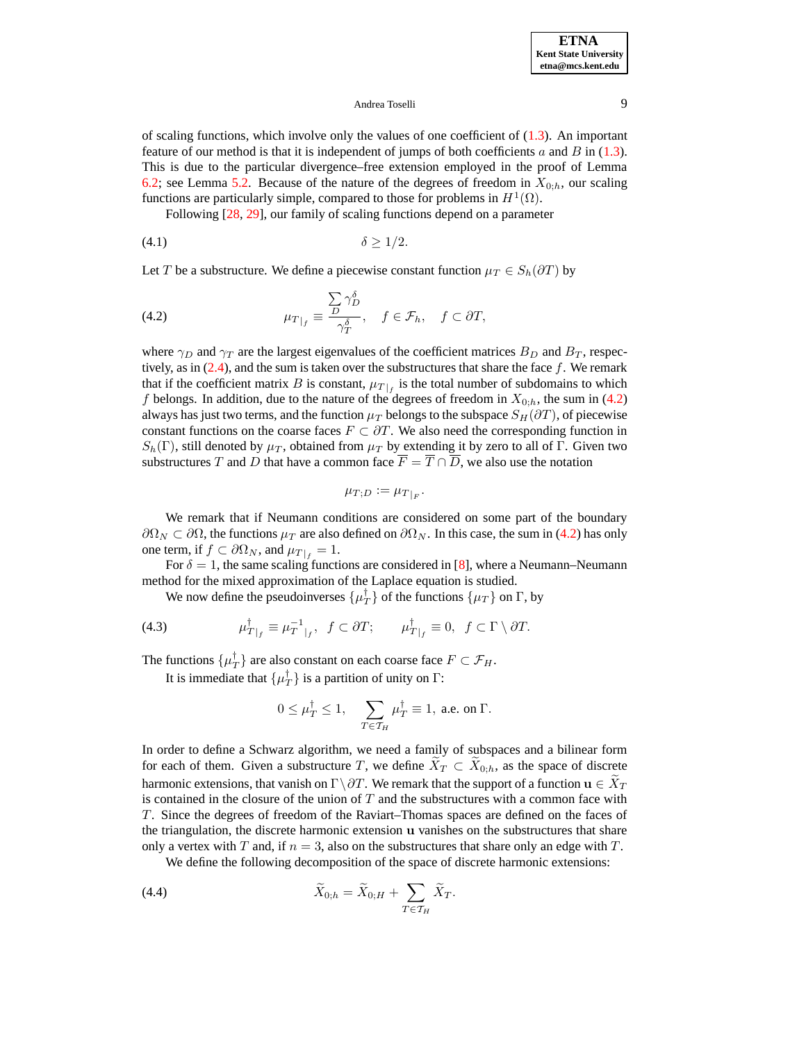of scaling functions, which involve only the values of one coefficient of  $(1.3)$ . An important feature of our method is that it is independent of jumps of both coefficients a and B in  $(1.3)$ . This is due to the particular divergence–free extension employed in the proof of Lemma [6.2;](#page-12-0) see Lemma [5.2.](#page-10-0) Because of the nature of the degrees of freedom in  $X_{0:h}$ , our scaling functions are particularly simple, compared to those for problems in  $H^1(\Omega)$ .

Following [\[28,](#page-23-5) [29\]](#page-23-14), our family of scaling functions depend on a parameter

$$
\delta \ge 1/2.
$$

Let T be a substructure. We define a piecewise constant function  $\mu_T \in S_h(\partial T)$  by

<span id="page-8-0"></span>(4.2) 
$$
\mu_{T|_f} \equiv \frac{\sum_{D} \gamma_D^{\delta}}{\gamma_T^{\delta}}, \quad f \in \mathcal{F}_h, \quad f \subset \partial T,
$$

where  $\gamma_D$  and  $\gamma_T$  are the largest eigenvalues of the coefficient matrices  $B_D$  and  $B_T$ , respectively, as in  $(2.4)$ , and the sum is taken over the substructures that share the face f. We remark that if the coefficient matrix B is constant,  $\mu_{T}|_f$  is the total number of subdomains to which f belongs. In addition, due to the nature of the degrees of freedom in  $X_{0,h}$ , the sum in [\(4.2\)](#page-8-0) always has just two terms, and the function  $\mu_T$  belongs to the subspace  $S_H(\partial T)$ , of piecewise constant functions on the coarse faces  $F \subset \partial T$ . We also need the corresponding function in  $S_h(\Gamma)$ , still denoted by  $\mu_T$ , obtained from  $\mu_T$  by extending it by zero to all of Γ. Given two substructures T and D that have a common face  $\overline{F} = \overline{T} \cap \overline{D}$ , we also use the notation

$$
\mu_{T;D} := \mu_{T|_F}.
$$

We remark that if Neumann conditions are considered on some part of the boundary  $\partial\Omega_N \subset \partial\Omega$ , the functions  $\mu_T$  are also defined on  $\partial\Omega_N$ . In this case, the sum in [\(4.2\)](#page-8-0) has only one term, if  $f \subset \partial \Omega_N$ , and  $\mu_{T|_{\mathcal{E}}} = 1$ .

For  $\delta = 1$ , the same scaling functions are considered in [\[8\]](#page-22-5), where a Neumann–Neumann method for the mixed approximation of the Laplace equation is studied.

We now define the pseudoinverses  $\{\mu_T^{\dagger}\}\$  of the functions  $\{\mu_T\}$  on  $\Gamma$ , by

<span id="page-8-1"></span>(4.3) 
$$
\mu_{T|_f}^{\dagger} \equiv \mu_{T|_f}^{-1}, \quad f \subset \partial T; \qquad \mu_{T|_f}^{\dagger} \equiv 0, \quad f \subset \Gamma \setminus \partial T.
$$

The functions  $\{\mu_T^{\dagger}\}\$ are also constant on each coarse face  $F \subset \mathcal{F}_H$ .

It is immediate that  $\{\mu_T^{\dagger}\}\$ is a partition of unity on  $\Gamma$ :

$$
0\leq \mu_T^\dagger\leq 1,\quad \sum_{T\in\mathcal{T}_H}\mu_T^\dagger\equiv 1,\text{ a.e. on }\Gamma.
$$

In order to define a Schwarz algorithm, we need a family of subspaces and a bilinear form for each of them. Given a substructure T, we define  $X_T \subset X_{0,h}$ , as the space of discrete harmonic extensions, that vanish on  $\Gamma \backslash \partial T$ . We remark that the support of a function  $\mathbf{u} \in \tilde{X}_T$ is contained in the closure of the union of  $T$  and the substructures with a common face with T. Since the degrees of freedom of the Raviart–Thomas spaces are defined on the faces of the triangulation, the discrete harmonic extension u vanishes on the substructures that share only a vertex with T and, if  $n = 3$ , also on the substructures that share only an edge with T.

We define the following decomposition of the space of discrete harmonic extensions:

(4.4) 
$$
\widetilde{X}_{0,h} = \widetilde{X}_{0,H} + \sum_{T \in \mathcal{T}_H} \widetilde{X}_T.
$$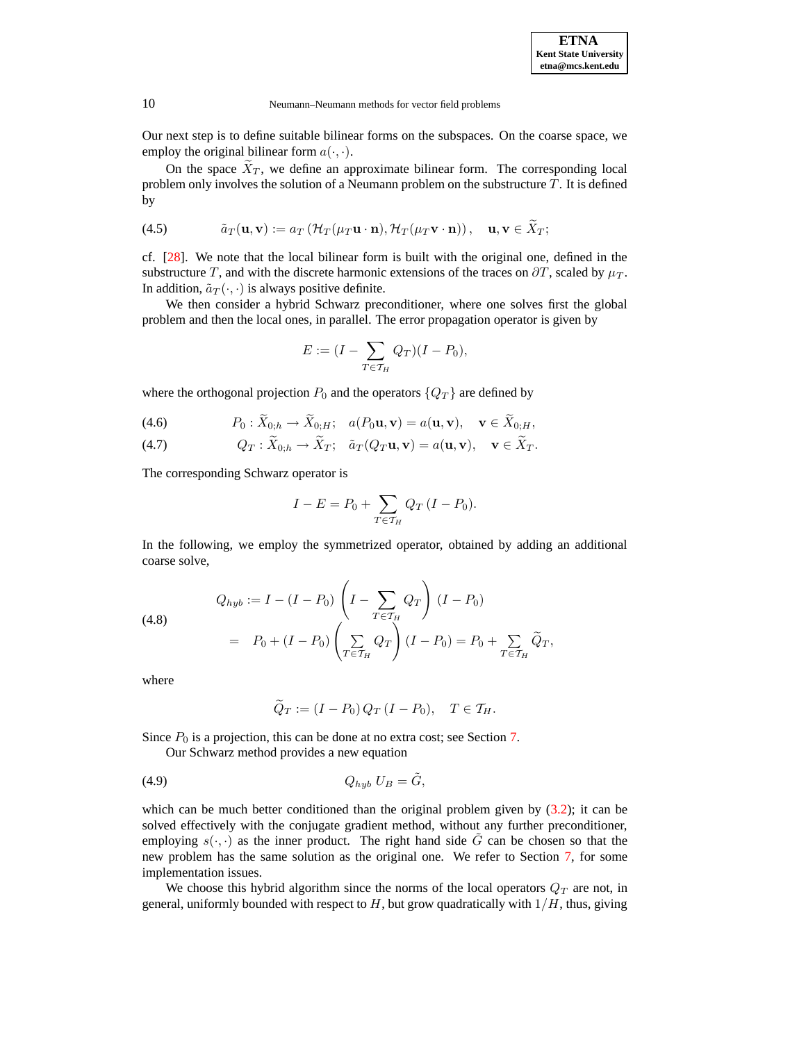Our next step is to define suitable bilinear forms on the subspaces. On the coarse space, we employ the original bilinear form  $a(\cdot, \cdot)$ .

On the space  $\tilde{X}_T$ , we define an approximate bilinear form. The corresponding local problem only involves the solution of a Neumann problem on the substructure  $T$ . It is defined by

<span id="page-9-1"></span>(4.5) 
$$
\tilde{a}_T(\mathbf{u}, \mathbf{v}) := a_T \left( \mathcal{H}_T(\mu_T \mathbf{u} \cdot \mathbf{n}), \mathcal{H}_T(\mu_T \mathbf{v} \cdot \mathbf{n}) \right), \quad \mathbf{u}, \mathbf{v} \in \tilde{X}_T;
$$

cf. [\[28\]](#page-23-5). We note that the local bilinear form is built with the original one, defined in the substructure T, and with the discrete harmonic extensions of the traces on  $\partial T$ , scaled by  $\mu_T$ . In addition,  $\tilde{a}_T(\cdot, \cdot)$  is always positive definite.

We then consider a hybrid Schwarz preconditioner, where one solves first the global problem and then the local ones, in parallel. The error propagation operator is given by

$$
E := (I - \sum_{T \in \mathcal{T}_H} Q_T)(I - P_0),
$$

where the orthogonal projection  $P_0$  and the operators  $\{Q_T\}$  are defined by

<span id="page-9-0"></span>(4.6) 
$$
P_0: \widetilde{X}_{0,h} \to \widetilde{X}_{0,H}; \quad a(P_0 \mathbf{u}, \mathbf{v}) = a(\mathbf{u}, \mathbf{v}), \quad \mathbf{v} \in \widetilde{X}_{0,H},
$$

(4.7) 
$$
Q_T : \widetilde{X}_{0,h} \to \widetilde{X}_T; \quad \widetilde{a}_T(Q_T \mathbf{u}, \mathbf{v}) = a(\mathbf{u}, \mathbf{v}), \quad \mathbf{v} \in \widetilde{X}_T.
$$

The corresponding Schwarz operator is

$$
I - E = P_0 + \sum_{T \in \mathcal{T}_H} Q_T (I - P_0).
$$

In the following, we employ the symmetrized operator, obtained by adding an additional coarse solve,

<span id="page-9-2"></span>(4.8)  
\n
$$
Q_{hyb} := I - (I - P_0) \left( I - \sum_{T \in \mathcal{T}_H} Q_T \right) (I - P_0)
$$
\n
$$
= P_0 + (I - P_0) \left( \sum_{T \in \mathcal{T}_H} Q_T \right) (I - P_0) = P_0 + \sum_{T \in \mathcal{T}_H} \widetilde{Q}_T,
$$

where

<span id="page-9-3"></span>
$$
\widetilde{Q}_T := (I - P_0) Q_T (I - P_0), \quad T \in \mathcal{T}_H.
$$

Since  $P_0$  is a projection, this can be done at no extra cost; see Section [7.](#page-18-0)

Our Schwarz method provides a new equation

$$
(4.9) \tQ_{hyb} U_B = \tilde{G},
$$

which can be much better conditioned than the original problem given by  $(3.2)$ ; it can be solved effectively with the conjugate gradient method, without any further preconditioner, employing  $s(\cdot, \cdot)$  as the inner product. The right hand side G can be chosen so that the new problem has the same solution as the original one. We refer to Section [7,](#page-18-0) for some implementation issues.

We choose this hybrid algorithm since the norms of the local operators  $Q_T$  are not, in general, uniformly bounded with respect to  $H$ , but grow quadratically with  $1/H$ , thus, giving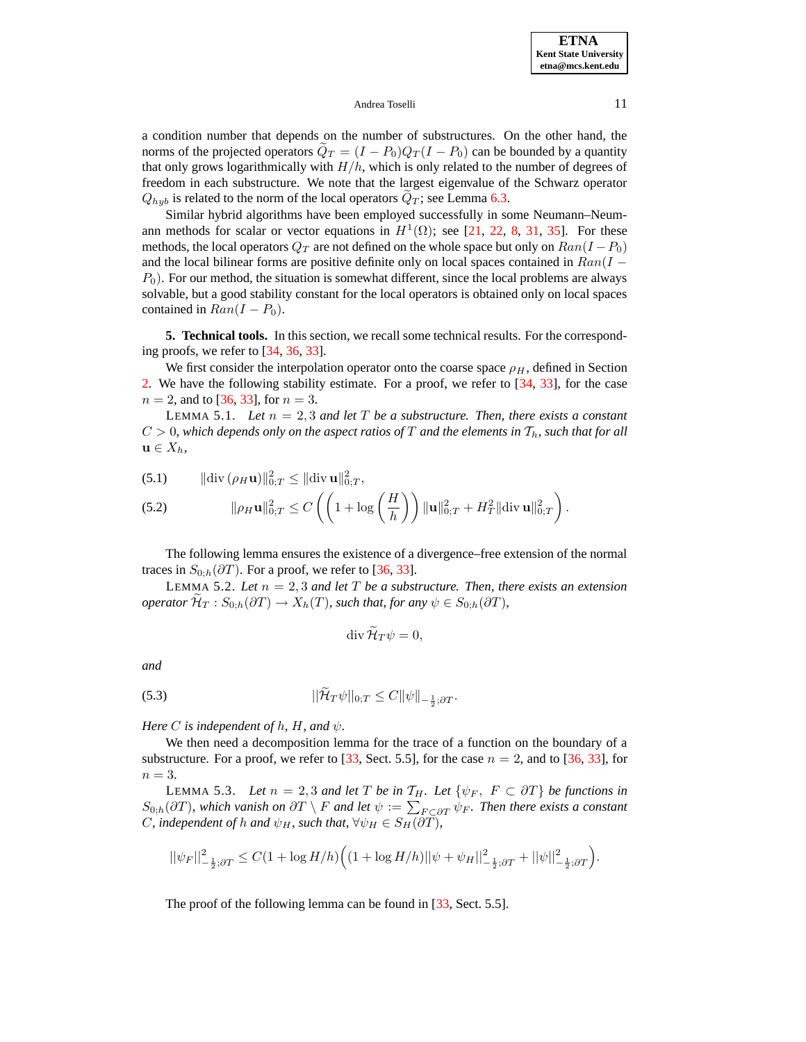a condition number that depends on the number of substructures. On the other hand, the norms of the projected operators  $Q_T = (I - P_0)Q_T(I - P_0)$  can be bounded by a quantity that only grows logarithmically with  $H/h$ , which is only related to the number of degrees of freedom in each substructure. We note that the largest eigenvalue of the Schwarz operator  $Q_{hyb}$  is related to the norm of the local operators  $Q_T$ ; see Lemma [6.3.](#page-15-0)

Similar hybrid algorithms have been employed successfully in some Neumann–Neumann methods for scalar or vector equations in  $H^1(\Omega)$ ; see [\[21,](#page-23-4) [22,](#page-23-6) [8,](#page-22-5) [31,](#page-23-7) [35\]](#page-23-18). For these methods, the local operators  $Q_T$  are not defined on the whole space but only on  $Ran(I - P_0)$ and the local bilinear forms are positive definite only on local spaces contained in  $Ran(I P_0$ ). For our method, the situation is somewhat different, since the local problems are always solvable, but a good stability constant for the local operators is obtained only on local spaces contained in  $Ran(I - P_0)$ .

**5. Technical tools.** In this section, we recall some technical results. For the corresponding proofs, we refer to [\[34,](#page-23-10) [36,](#page-23-11) [33\]](#page-23-2).

We first consider the interpolation operator onto the coarse space  $\rho_H$ , defined in Section [2.](#page-2-0) We have the following stability estimate. For a proof, we refer to [\[34,](#page-23-10) [33\]](#page-23-2), for the case  $n = 2$ , and to [\[36,](#page-23-11) [33\]](#page-23-2), for  $n = 3$ .

<span id="page-10-3"></span>LEMMA 5.1. Let  $n = 2, 3$  *and let*  $T$  *be a substructure. Then, there exists a constant*  $C > 0$ , which depends only on the aspect ratios of T and the elements in  $T_h$ , such that for all  $\mathbf{u} \in X_h$ 

(5.1) 
$$
\|\text{div}(\rho_H \mathbf{u})\|_{0;T}^2 \le \|\text{div} \mathbf{u}\|_{0;T}^2,
$$

(5.2) 
$$
\|\rho_H \mathbf{u}\|_{0,T}^2 \leq C\left(\left(1 + \log\left(\frac{H}{h}\right)\right) \|\mathbf{u}\|_{0,T}^2 + H_T^2 \|\text{div}\,\mathbf{u}\|_{0,T}^2\right).
$$

The following lemma ensures the existence of a divergence–free extension of the normal traces in  $S_{0,h}(\partial T)$ . For a proof, we refer to [\[36,](#page-23-11) [33\]](#page-23-2).

<span id="page-10-0"></span>LEMMA 5.2. Let  $n = 2, 3$  and let T be a substructure. Then, there exists an extension *operator*  $\mathcal{H}_T$  :  $S_{0,h}(\partial T) \to X_h(T)$ *, such that, for any*  $\psi \in S_{0,h}(\partial T)$ *,* 

$$
\operatorname{div}\widetilde{\mathcal{H}}_T\psi=0,
$$

*and*

(5.3) 
$$
||\mathcal{H}_T \psi||_{0;T} \leq C ||\psi||_{-\frac{1}{2};\partial T}.
$$

*Here C is independent of*  $h$ *,*  $H$ *<i>, and*  $\psi$ *.* 

We then need a decomposition lemma for the trace of a function on the boundary of a substructure. For a proof, we refer to [\[33,](#page-23-2) Sect. 5.5], for the case  $n = 2$ , and to [\[36,](#page-23-11) [33\]](#page-23-2), for  $n=3$ .

<span id="page-10-2"></span>LEMMA 5.3. Let  $n = 2, 3$  and let T be in  $T_H$ . Let  $\{\psi_F, F \subset \partial T\}$  be functions in  $S_{0,h}(\partial T)$ , which vanish on  $\partial T \setminus F$  and let  $\psi := \sum_{F \subset \partial T} \psi_F$ . Then there exists a constant *C*, independent of h and  $\psi_H$ , such that,  $\forall \psi_H \in S_H(\partial T)$ ,

$$
||\psi_F||^2_{-\frac{1}{2};\partial T} \leq C(1+\log H/h) \Big((1+\log H/h)||\psi + \psi_H||^2_{-\frac{1}{2};\partial T} + ||\psi||^2_{-\frac{1}{2};\partial T}\Big).
$$

<span id="page-10-1"></span>The proof of the following lemma can be found in [\[33,](#page-23-2) Sect. 5.5].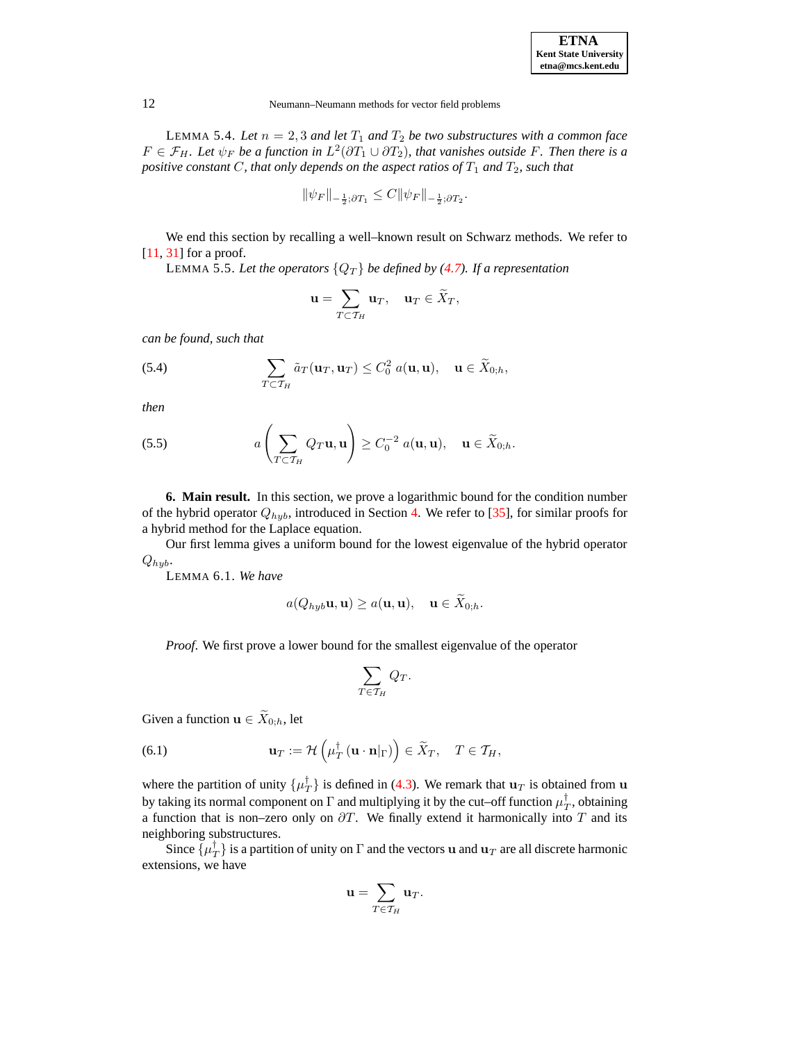| <b>ETNA</b>                  |  |  |  |
|------------------------------|--|--|--|
| <b>Kent State University</b> |  |  |  |
| etna@mcs.kent.edu            |  |  |  |

LEMMA 5.4. Let  $n = 2, 3$  *and let*  $T_1$  *and*  $T_2$  *be two substructures with a common face*  $F \in \mathcal{F}_H$ . Let  $\psi_F$  be a function in  $L^2(\partial T_1 \cup \partial T_2)$ , that vanishes outside F. Then there is a *positive constant*  $C$ *, that only depends on the aspect ratios of*  $T_1$  *and*  $T_2$ *, such that* 

$$
\|\psi_F\|_{-\frac{1}{2};\partial T_1} \leq C \|\psi_F\|_{-\frac{1}{2};\partial T_2}.
$$

<span id="page-11-0"></span>We end this section by recalling a well–known result on Schwarz methods. We refer to [\[11,](#page-22-14) [31\]](#page-23-7) for a proof.

LEMMA 5.5. Let the operators  ${Q_T}$  be defined by [\(4.7\)](#page-9-0). If a representation

$$
\mathbf{u} = \sum_{T \subset \mathcal{T}_H} \mathbf{u}_T, \quad \mathbf{u}_T \in \widetilde{X}_T,
$$

*can be found, such that*

(5.4) 
$$
\sum_{T \subset \mathcal{T}_H} \tilde{a}_T(\mathbf{u}_T, \mathbf{u}_T) \leq C_0^2 \, a(\mathbf{u}, \mathbf{u}), \quad \mathbf{u} \in \widetilde{X}_{0,h},
$$

*then*

(5.5) 
$$
a\left(\sum_{T\subset \mathcal{T}_H} Q_T \mathbf{u}, \mathbf{u}\right) \geq C_0^{-2} a(\mathbf{u}, \mathbf{u}), \quad \mathbf{u} \in \widetilde{X}_{0,h}.
$$

**6. Main result.** In this section, we prove a logarithmic bound for the condition number of the hybrid operator  $Q_{hyb}$ , introduced in Section [4.](#page-7-4) We refer to [\[35\]](#page-23-18), for similar proofs for a hybrid method for the Laplace equation.

<span id="page-11-1"></span>Our first lemma gives a uniform bound for the lowest eigenvalue of the hybrid operator  $Q_{hyb}$ .

LEMMA 6.1. *We have*

$$
a(Q_{hyb}\mathbf{u},\mathbf{u}) \ge a(\mathbf{u},\mathbf{u}), \quad \mathbf{u} \in \widetilde{X}_{0,h}.
$$

*Proof.* We first prove a lower bound for the smallest eigenvalue of the operator

$$
\sum_{T\in\mathcal{T}_H} Q_T.
$$

Given a function  $\mathbf{u} \in \widetilde{X}_{0,h}$ , let

(6.1) 
$$
\mathbf{u}_T := \mathcal{H}\left(\mu_T^{\dagger}(\mathbf{u} \cdot \mathbf{n}|_{\Gamma})\right) \in \widetilde{X}_T, \quad T \in \mathcal{T}_H,
$$

where the partition of unity  $\{\mu_T^{\dagger}\}\$ is defined in [\(4.3\)](#page-8-1). We remark that  $\mathbf{u}_T$  is obtained from  $\mathbf{u}$ by taking its normal component on  $\Gamma$  and multiplying it by the cut–off function  $\mu_T^\dagger$ , obtaining a function that is non–zero only on  $\partial T$ . We finally extend it harmonically into T and its neighboring substructures.

Since  $\{\mu_T^{\dagger}\}$  is a partition of unity on  $\Gamma$  and the vectors **u** and  $\mathbf{u}_T$  are all discrete harmonic extensions, we have

$$
\mathbf{u} = \sum_{T \in \mathcal{T}_H} \mathbf{u}_T.
$$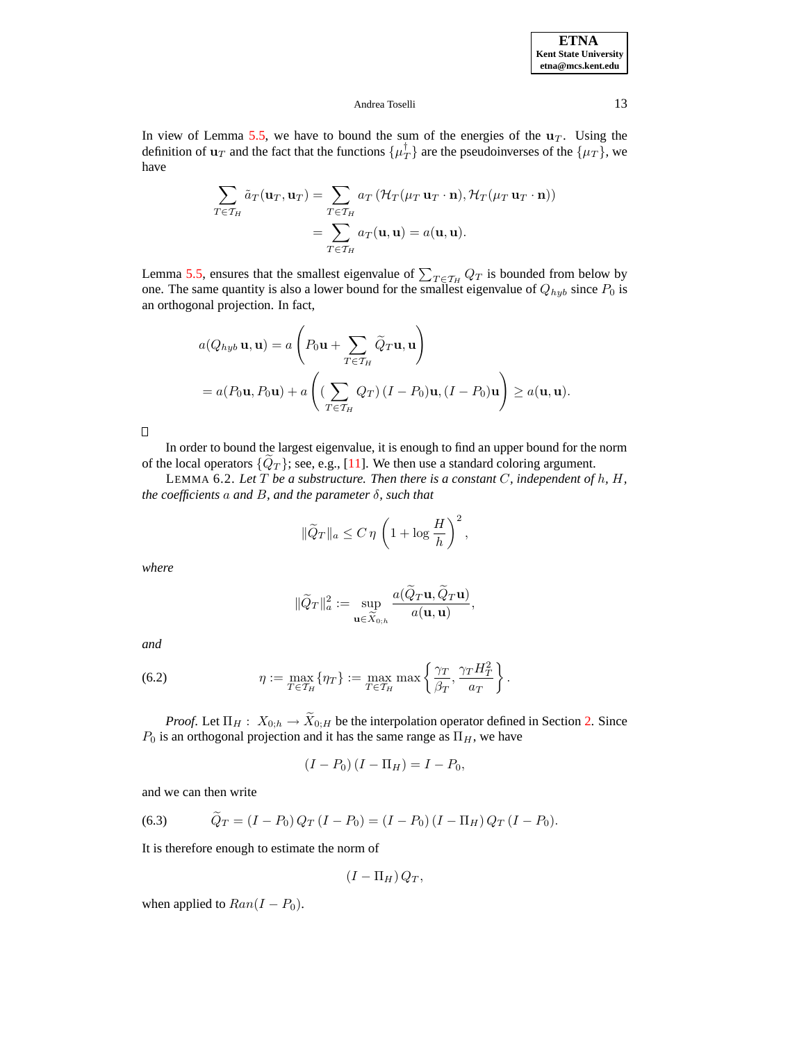In view of Lemma [5.5,](#page-11-0) we have to bound the sum of the energies of the  $\mathbf{u}_T$ . Using the definition of  $\mathbf{u}_T$  and the fact that the functions  $\{\mu_T^{\dagger}\}\$  are the pseudoinverses of the  $\{\mu_T\}$ , we have

$$
\sum_{T \in \mathcal{T}_H} \tilde{a}_T(\mathbf{u}_T, \mathbf{u}_T) = \sum_{T \in \mathcal{T}_H} a_T (\mathcal{H}_T(\mu_T \mathbf{u}_T \cdot \mathbf{n}), \mathcal{H}_T(\mu_T \mathbf{u}_T \cdot \mathbf{n}))
$$

$$
= \sum_{T \in \mathcal{T}_H} a_T(\mathbf{u}, \mathbf{u}) = a(\mathbf{u}, \mathbf{u}).
$$

Lemma [5.5,](#page-11-0) ensures that the smallest eigenvalue of  $\sum_{T \in \mathcal{T}_H} Q_T$  is bounded from below by one. The same quantity is also a lower bound for the smallest eigenvalue of  $Q_{hyb}$  since  $P_0$  is an orthogonal projection. In fact,

$$
a(Q_{hyb} \mathbf{u}, \mathbf{u}) = a\left(P_0 \mathbf{u} + \sum_{T \in \mathcal{T}_H} \widetilde{Q}_T \mathbf{u}, \mathbf{u}\right)
$$
  
=  $a(P_0 \mathbf{u}, P_0 \mathbf{u}) + a\left((\sum_{T \in \mathcal{T}_H} Q_T) (I - P_0) \mathbf{u}, (I - P_0) \mathbf{u}\right) \ge a(\mathbf{u}, \mathbf{u}).$ 

 $\Box$ 

<span id="page-12-0"></span>In order to bound the largest eigenvalue, it is enough to find an upper bound for the norm of the local operators  $\{Q_T\}$ ; see, e.g., [\[11\]](#page-22-14). We then use a standard coloring argument.

LEMMA 6.2. *Let* T *be a substructure. Then there is a constant* C*, independent of* h*,* H*, the coefficients* a *and* B*, and the parameter* δ*, such that*

$$
\|\widetilde{Q}_T\|_a \le C \,\eta \,\left(1 + \log \frac{H}{h}\right)^2,
$$

*where*

$$
\|\widetilde{Q}_T\|_a^2 := \sup_{\mathbf{u} \in \widetilde{X}_{0,h}} \frac{a(\widetilde{Q}_T \mathbf{u}, \widetilde{Q}_T \mathbf{u})}{a(\mathbf{u}, \mathbf{u})},
$$

*and*

(6.2) 
$$
\eta := \max_{T \in \mathcal{T}_H} \{ \eta_T \} := \max_{T \in \mathcal{T}_H} \max \left\{ \frac{\gamma_T}{\beta_T}, \frac{\gamma_T H_T^2}{a_T} \right\}.
$$

*Proof.* Let  $\Pi_H: X_{0,h} \to \widetilde{X}_{0,H}$  be the interpolation operator defined in Section [2.](#page-2-0) Since  $P_0$  is an orthogonal projection and it has the same range as  $\Pi_H$ , we have

$$
(I - P_0) (I - \Pi_H) = I - P_0,
$$

and we can then write

(6.3) 
$$
\widetilde{Q}_T = (I - P_0) Q_T (I - P_0) = (I - P_0) (I - \Pi_H) Q_T (I - P_0).
$$

It is therefore enough to estimate the norm of

$$
(I-\Pi_H)Q_T,
$$

when applied to  $Ran(I - P_0)$ .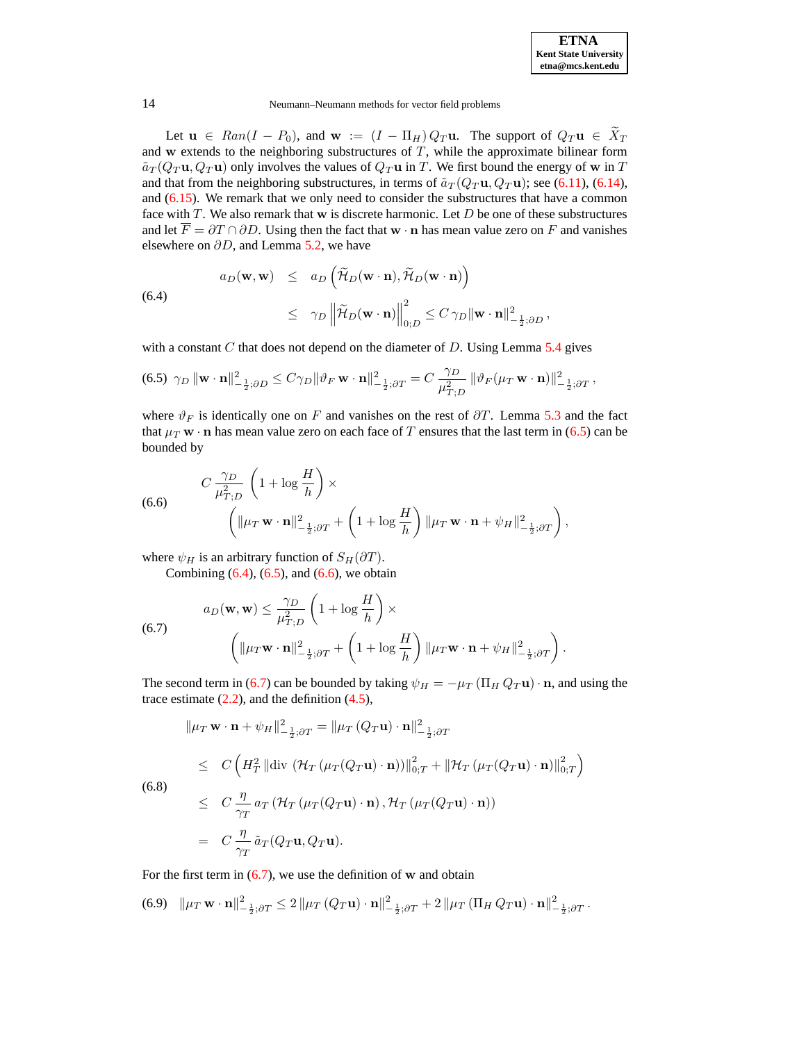

Let  $u \in Ran(I - P_0)$ , and  $w := (I - \Pi_H) Q_T u$ . The support of  $Q_T u \in \overline{X}_T$ and w extends to the neighboring substructures of  $T$ , while the approximate bilinear form  $\tilde{a}_T(Q_T \mathbf{u}, Q_T \mathbf{u})$  only involves the values of  $Q_T \mathbf{u}$  in T. We first bound the energy of w in T and that from the neighboring substructures, in terms of  $\tilde{a}_T(Q_T \mathbf{u}, Q_T \mathbf{u})$ ; see [\(6.11\)](#page-14-0), [\(6.14\)](#page-15-1), and [\(6.15\)](#page-15-2). We remark that we only need to consider the substructures that have a common face with  $T$ . We also remark that w is discrete harmonic. Let  $D$  be one of these substructures and let  $\overline{F} = \partial T \cap \partial D$ . Using then the fact that w  $\cdot$  n has mean value zero on F and vanishes elsewhere on  $\partial D$ , and Lemma [5.2,](#page-10-0) we have

<span id="page-13-1"></span>(6.4)  

$$
a_D(\mathbf{w}, \mathbf{w}) \le a_D \left( \widetilde{\mathcal{H}}_D(\mathbf{w} \cdot \mathbf{n}), \widetilde{\mathcal{H}}_D(\mathbf{w} \cdot \mathbf{n}) \right)
$$

$$
\le \gamma_D \left\| \widetilde{\mathcal{H}}_D(\mathbf{w} \cdot \mathbf{n}) \right\|_{0;D}^2 \le C \gamma_D \|\mathbf{w} \cdot \mathbf{n}\|_{-\frac{1}{2};\partial D}^2,
$$

with a constant  $C$  that does not depend on the diameter of  $D$ . Using Lemma [5.4](#page-10-1) gives

<span id="page-13-0"></span>
$$
\text{(6.5) }\gamma_D \left\|\mathbf{w} \cdot \mathbf{n}\right\|_{-\frac{1}{2};\partial D}^2 \le C\gamma_D \|\vartheta_F \mathbf{w} \cdot \mathbf{n}\|_{-\frac{1}{2};\partial T}^2 = C \frac{\gamma_D}{\mu_{T;D}^2} \left\|\vartheta_F(\mu_T \mathbf{w} \cdot \mathbf{n})\right\|_{-\frac{1}{2};\partial T}^2,
$$

where  $\vartheta_F$  is identically one on F and vanishes on the rest of  $\partial T$ . Lemma [5.3](#page-10-2) and the fact that  $\mu_T$  w  $\cdot$  n has mean value zero on each face of T ensures that the last term in [\(6.5\)](#page-13-0) can be bounded by

<span id="page-13-2"></span>(6.6) 
$$
C \frac{\gamma_D}{\mu_{T;D}^2} \left( 1 + \log \frac{H}{h} \right) \times \left( \|\mu_T \mathbf{w} \cdot \mathbf{n}\|_{-\frac{1}{2};\partial T}^2 + \left( 1 + \log \frac{H}{h} \right) \|\mu_T \mathbf{w} \cdot \mathbf{n} + \psi_H\|_{-\frac{1}{2};\partial T}^2 \right),
$$

where  $\psi_H$  is an arbitrary function of  $S_H(\partial T)$ .

Combining  $(6.4)$ ,  $(6.5)$ , and  $(6.6)$ , we obtain

$$
a_D(\mathbf{w}, \mathbf{w}) \le \frac{\gamma_D}{\mu_{T;D}^2} \left( 1 + \log \frac{H}{h} \right) \times \left( \|\mu_T \mathbf{w} \cdot \mathbf{n}\|_{-\frac{1}{2};\partial T}^2 + \left( 1 + \log \frac{H}{h} \right) \|\mu_T \mathbf{w} \cdot \mathbf{n} + \psi_H\|_{-\frac{1}{2};\partial T}^2 \right).
$$

The second term in [\(6.7\)](#page-13-3) can be bounded by taking  $\psi_H = -\mu_T (\Pi_H Q_T \mathbf{u}) \cdot \mathbf{n}$ , and using the trace estimate  $(2.2)$ , and the definition  $(4.5)$ ,

<span id="page-13-5"></span>
$$
\|\mu_T \mathbf{w} \cdot \mathbf{n} + \psi_H\|_{-\frac{1}{2};\partial T}^2 = \|\mu_T (Q_T \mathbf{u}) \cdot \mathbf{n}\|_{-\frac{1}{2};\partial T}^2
$$
  
\n
$$
\leq C \left( H_T^2 \|\text{div} \left( \mathcal{H}_T (\mu_T (Q_T \mathbf{u}) \cdot \mathbf{n}) \right)\|_{0;T}^2 + \|\mathcal{H}_T (\mu_T (Q_T \mathbf{u}) \cdot \mathbf{n})\|_{0;T}^2 \right)
$$
  
\n(6.8)  
\n
$$
\leq C \frac{\eta}{\gamma_T} a_T \left( \mathcal{H}_T (\mu_T (Q_T \mathbf{u}) \cdot \mathbf{n}) , \mathcal{H}_T (\mu_T (Q_T \mathbf{u}) \cdot \mathbf{n}) \right)
$$
  
\n
$$
= C \frac{\eta}{\gamma_T} \tilde{a}_T (Q_T \mathbf{u}, Q_T \mathbf{u}).
$$

For the first term in  $(6.7)$ , we use the definition of w and obtain

<span id="page-13-4"></span>(6.9) 
$$
\|\mu_T \mathbf{w} \cdot \mathbf{n}\|_{-\frac{1}{2};\partial T}^2 \leq 2 \|\mu_T (Q_T \mathbf{u}) \cdot \mathbf{n}\|_{-\frac{1}{2};\partial T}^2 + 2 \|\mu_T (\Pi_H Q_T \mathbf{u}) \cdot \mathbf{n}\|_{-\frac{1}{2};\partial T}^2.
$$

<span id="page-13-3"></span> $(6)$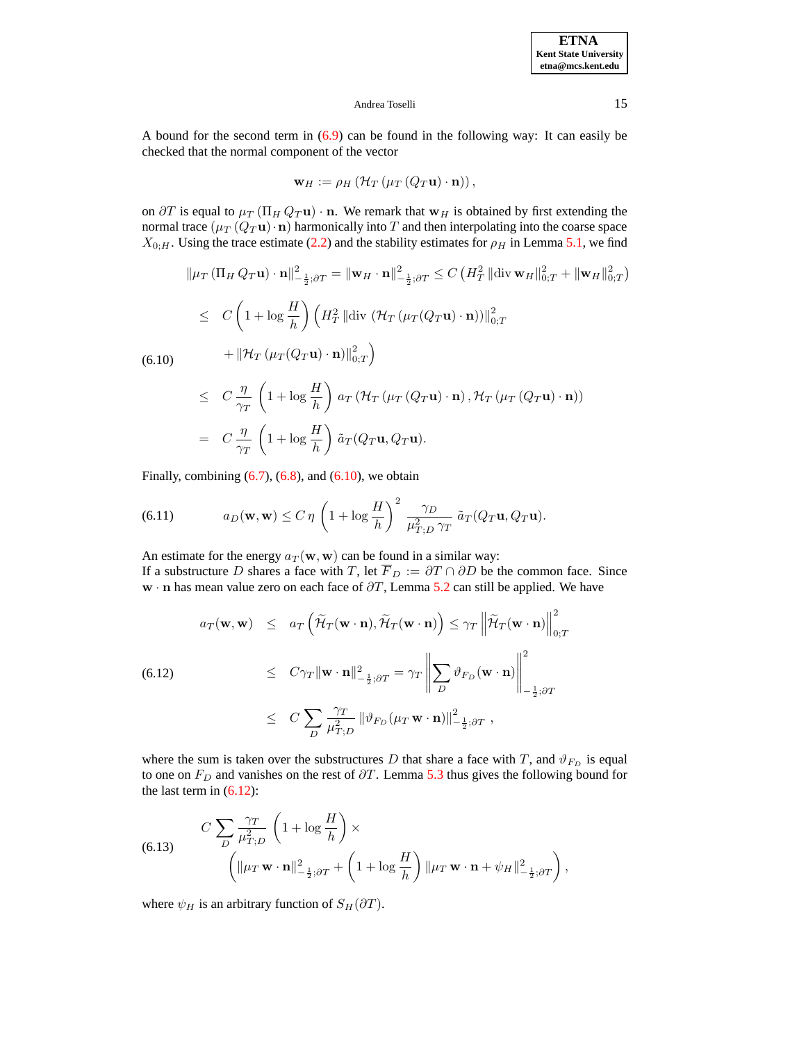A bound for the second term in  $(6.9)$  can be found in the following way: It can easily be checked that the normal component of the vector

$$
\mathbf{w}_{H} := \rho_{H} \left( \mathcal{H}_{T} \left( \mu_{T} \left( Q_{T} \mathbf{u} \right) \cdot \mathbf{n} \right) \right),
$$

on  $\partial T$  is equal to  $\mu_T(\Pi_H Q_T \mathbf{u}) \cdot \mathbf{n}$ . We remark that  $\mathbf{w}_H$  is obtained by first extending the normal trace  $(\mu_T (Q_T \mathbf{u}) \cdot \mathbf{n})$  harmonically into T and then interpolating into the coarse space  $X_{0;H}$ . Using the trace estimate [\(2.2\)](#page-2-1) and the stability estimates for  $\rho_H$  in Lemma [5.1,](#page-10-3) we find

<span id="page-14-1"></span>
$$
\|\mu_T (\Pi_H Q_T \mathbf{u}) \cdot \mathbf{n}\|_{-\frac{1}{2};\partial T}^2 = \|\mathbf{w}_H \cdot \mathbf{n}\|_{-\frac{1}{2};\partial T}^2 \le C \left(H_T^2 \|\text{div}\,\mathbf{w}_H\|_{0;T}^2 + \|\mathbf{w}_H\|_{0;T}^2\right)
$$
  
\n
$$
\le C \left(1 + \log \frac{H}{h}\right) \left(H_T^2 \|\text{div}\,(\mathcal{H}_T (\mu_T (Q_T \mathbf{u}) \cdot \mathbf{n}))\|_{0;T}^2 + \|\mathcal{H}_T (\mu_T (Q_T \mathbf{u}) \cdot \mathbf{n})\|_{0;T}^2\right)
$$
  
\n(6.10) 
$$
+ \|\mathcal{H}_T (\mu_T (Q_T \mathbf{u}) \cdot \mathbf{n})\|_{0;T}^2\right)
$$
  
\n
$$
\le C \frac{\eta}{\gamma_T} \left(1 + \log \frac{H}{h}\right) a_T (\mathcal{H}_T (\mu_T (Q_T \mathbf{u}) \cdot \mathbf{n}), \mathcal{H}_T (\mu_T (Q_T \mathbf{u}) \cdot \mathbf{n}))
$$
  
\n
$$
= C \frac{\eta}{\gamma_T} \left(1 + \log \frac{H}{h}\right) \tilde{a}_T (Q_T \mathbf{u}, Q_T \mathbf{u}).
$$

Finally, combining  $(6.7)$ ,  $(6.8)$ , and  $(6.10)$ , we obtain

<span id="page-14-0"></span>(6.11) 
$$
a_D(\mathbf{w}, \mathbf{w}) \le C \eta \left(1 + \log \frac{H}{h}\right)^2 \frac{\gamma_D}{\mu_{T,D}^2 \gamma_T} \tilde{a}_T(Q_T \mathbf{u}, Q_T \mathbf{u}).
$$

An estimate for the energy  $a_T(\mathbf{w}, \mathbf{w})$  can be found in a similar way: If a substructure D shares a face with T, let  $\overline{F}_D := \partial T \cap \partial D$  be the common face. Since w · n has mean value zero on each face of  $\partial T$ , Lemma [5.2](#page-10-0) can still be applied. We have

<span id="page-14-2"></span>
$$
a_T(\mathbf{w}, \mathbf{w}) \le a_T \left( \tilde{\mathcal{H}}_T(\mathbf{w} \cdot \mathbf{n}), \tilde{\mathcal{H}}_T(\mathbf{w} \cdot \mathbf{n}) \right) \le \gamma_T \left\| \tilde{\mathcal{H}}_T(\mathbf{w} \cdot \mathbf{n}) \right\|_{0;T}^2
$$
  
(6.12)  

$$
\le C \gamma_T \|\mathbf{w} \cdot \mathbf{n}\|_{-\frac{1}{2};\partial T}^2 = \gamma_T \left\| \sum_D \vartheta_{F_D}(\mathbf{w} \cdot \mathbf{n}) \right\|_{-\frac{1}{2};\partial T}^2
$$

$$
\le C \sum_D \frac{\gamma_T}{\mu_{T;D}^2} \|\vartheta_{F_D}(\mu_T \mathbf{w} \cdot \mathbf{n})\|_{-\frac{1}{2};\partial T}^2,
$$

where the sum is taken over the substructures D that share a face with T, and  $\vartheta_{F_D}$  is equal to one on  $F_D$  and vanishes on the rest of  $\partial T$ . Lemma [5.3](#page-10-2) thus gives the following bound for the last term in  $(6.12)$ :

<span id="page-14-3"></span>(6.13) 
$$
C \sum_{D} \frac{\gamma_T}{\mu_{T,D}^2} \left( 1 + \log \frac{H}{h} \right) \times \left( \|\mu_T \mathbf{w} \cdot \mathbf{n}\|_{-\frac{1}{2};\partial T}^2 + \left( 1 + \log \frac{H}{h} \right) \|\mu_T \mathbf{w} \cdot \mathbf{n} + \psi_H\|_{-\frac{1}{2};\partial T}^2 \right),
$$

where  $\psi_H$  is an arbitrary function of  $S_H(\partial T)$ .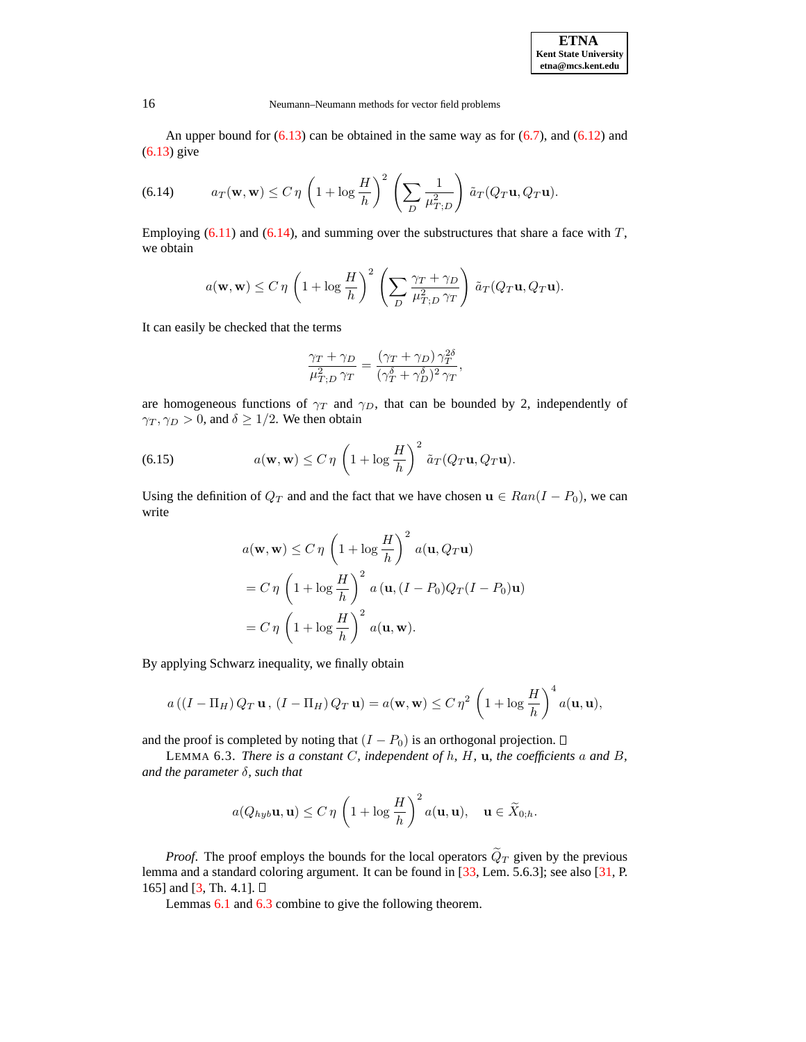| <b>ETNA</b>                  |  |  |  |
|------------------------------|--|--|--|
| <b>Kent State University</b> |  |  |  |
| etna@mcs.kent.edu            |  |  |  |

An upper bound for  $(6.13)$  can be obtained in the same way as for  $(6.7)$ , and  $(6.12)$  and [\(6.13\)](#page-14-3) give

<span id="page-15-1"></span>(6.14) 
$$
a_T(\mathbf{w}, \mathbf{w}) \le C \eta \left(1 + \log \frac{H}{h}\right)^2 \left(\sum_D \frac{1}{\mu_{T,D}^2}\right) \tilde{a}_T(Q_T \mathbf{u}, Q_T \mathbf{u}).
$$

Employing  $(6.11)$  and  $(6.14)$ , and summing over the substructures that share a face with T, we obtain

$$
a(\mathbf{w}, \mathbf{w}) \le C \eta \left(1 + \log \frac{H}{h}\right)^2 \left(\sum_D \frac{\gamma_T + \gamma_D}{\mu_{T;D}^2 \gamma_T}\right) \tilde{a}_T(Q_T \mathbf{u}, Q_T \mathbf{u}).
$$

It can easily be checked that the terms

$$
\frac{\gamma_T + \gamma_D}{\mu_{T,D}^2 \gamma_T} = \frac{(\gamma_T + \gamma_D) \gamma_T^{2\delta}}{(\gamma_T^{\delta} + \gamma_D^{\delta})^2 \gamma_T},
$$

are homogeneous functions of  $\gamma_T$  and  $\gamma_D$ , that can be bounded by 2, independently of  $\gamma_T, \gamma_D > 0$ , and  $\delta \geq 1/2$ . We then obtain

<span id="page-15-2"></span>(6.15) 
$$
a(\mathbf{w}, \mathbf{w}) \leq C \eta \left(1 + \log \frac{H}{h}\right)^2 \tilde{a}_T(Q_T \mathbf{u}, Q_T \mathbf{u}).
$$

Using the definition of  $Q_T$  and and the fact that we have chosen  $\mathbf{u} \in Ran(I - P_0)$ , we can write

$$
a(\mathbf{w}, \mathbf{w}) \le C \eta \left(1 + \log \frac{H}{h}\right)^2 a(\mathbf{u}, Q_T \mathbf{u})
$$
  
=  $C \eta \left(1 + \log \frac{H}{h}\right)^2 a(\mathbf{u}, (I - P_0)Q_T(I - P_0)\mathbf{u})$   
=  $C \eta \left(1 + \log \frac{H}{h}\right)^2 a(\mathbf{u}, \mathbf{w}).$ 

By applying Schwarz inequality, we finally obtain

$$
a\left(\left(I-\Pi_H\right)Q_T\mathbf{u},\,\left(I-\Pi_H\right)Q_T\mathbf{u}\right)=a(\mathbf{w},\mathbf{w})\leq C\,\eta^2\,\left(1+\log\frac{H}{h}\right)^4a(\mathbf{u},\mathbf{u}),
$$

<span id="page-15-0"></span>and the proof is completed by noting that  $(I - P_0)$  is an orthogonal projection.  $\Box$ 

LEMMA 6.3. *There is a constant* C*, independent of* h*,* H*,* u*, the coefficients* a *and* B*, and the parameter* δ*, such that*

$$
a(Q_{hyb}\mathbf{u}, \mathbf{u}) \le C \eta \left(1 + \log \frac{H}{h}\right)^2 a(\mathbf{u}, \mathbf{u}), \quad \mathbf{u} \in \widetilde{X}_{0,h}.
$$

<span id="page-15-3"></span>*Proof.* The proof employs the bounds for the local operators  $\tilde{Q}_T$  given by the previous lemma and a standard coloring argument. It can be found in [\[33,](#page-23-2) Lem. 5.6.3]; see also [\[31,](#page-23-7) P. 165] and [\[3,](#page-22-0) Th. 4.1].  $\square$ 

Lemmas [6.1](#page-11-1) and [6.3](#page-15-0) combine to give the following theorem.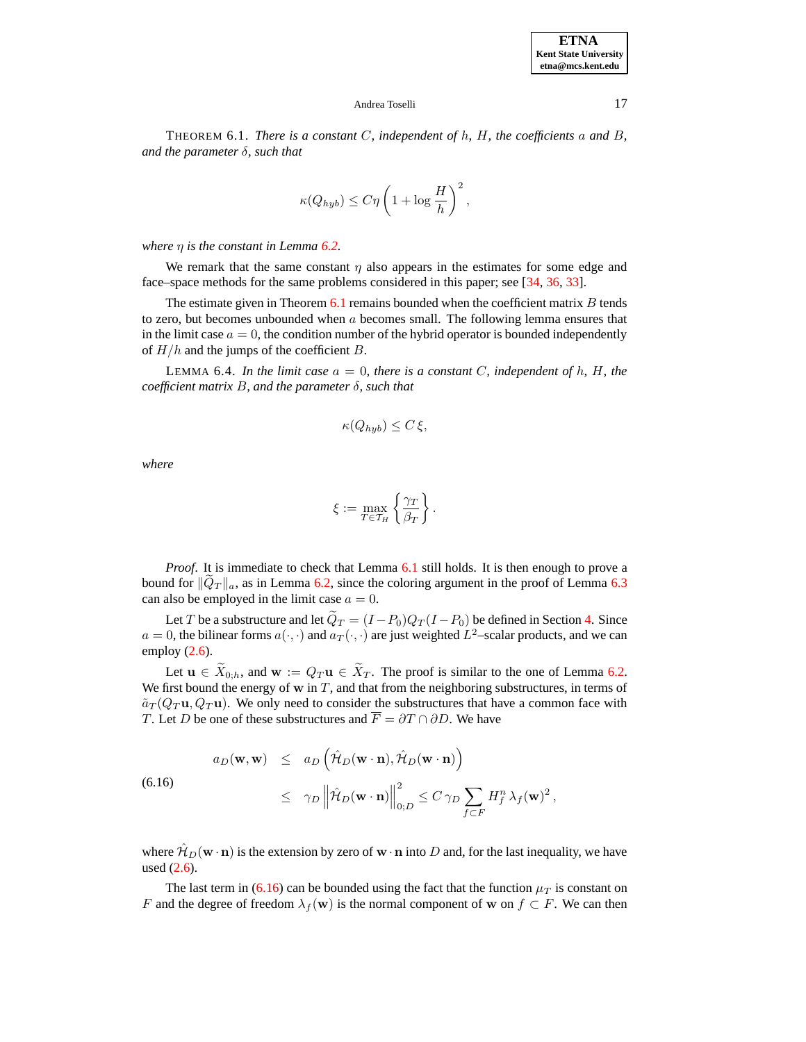THEOREM 6.1. *There is a constant* C*, independent of* h*,* H*, the coefficients* a *and* B*, and the parameter* δ*, such that*

$$
\kappa(Q_{hyb}) \le C\eta \left(1 + \log \frac{H}{h}\right)^2,
$$

*where* η *is the constant in Lemma [6.2.](#page-12-0)*

We remark that the same constant  $\eta$  also appears in the estimates for some edge and face–space methods for the same problems considered in this paper; see [\[34,](#page-23-10) [36,](#page-23-11) [33\]](#page-23-2).

The estimate given in Theorem  $6.1$  remains bounded when the coefficient matrix  $B$  tends to zero, but becomes unbounded when a becomes small. The following lemma ensures that in the limit case  $a = 0$ , the condition number of the hybrid operator is bounded independently of  $H/h$  and the jumps of the coefficient B.

<span id="page-16-1"></span>LEMMA 6.4. *In the limit case*  $a = 0$ *, there is a constant C, independent of h, H, the coefficient matrix* B*, and the parameter* δ*, such that*

$$
\kappa(Q_{hyb}) \le C \xi,
$$

*where*

$$
\xi := \max_{T \in \mathcal{T}_H} \left\{ \frac{\gamma_T}{\beta_T} \right\}.
$$

*Proof.* It is immediate to check that Lemma [6.1](#page-11-1) still holds. It is then enough to prove a bound for  $||Q_T||_a$ , as in Lemma [6.2,](#page-12-0) since the coloring argument in the proof of Lemma [6.3](#page-15-0) can also be employed in the limit case  $a = 0$ .

Let T be a substructure and let  $\tilde{Q}_T = (I - P_0)Q_T(I - P_0)$  be defined in Section [4.](#page-7-4) Since  $a = 0$ , the bilinear forms  $a(\cdot, \cdot)$  and  $a_T(\cdot, \cdot)$  are just weighted  $L^2$ –scalar products, and we can employ  $(2.6)$ .

Let  $u \in \widetilde{X}_{0,h}$ , and  $w := Q_T u \in \widetilde{X}_T$ . The proof is similar to the one of Lemma [6.2.](#page-12-0) We first bound the energy of  $w$  in  $T$ , and that from the neighboring substructures, in terms of  $\tilde{a}_T(Q_T \mathbf{u}, Q_T \mathbf{u})$ . We only need to consider the substructures that have a common face with T. Let D be one of these substructures and  $\overline{F} = \partial T \cap \partial D$ . We have

<span id="page-16-0"></span>(6.16)  

$$
a_D(\mathbf{w}, \mathbf{w}) \le a_D \left( \hat{\mathcal{H}}_D(\mathbf{w} \cdot \mathbf{n}), \hat{\mathcal{H}}_D(\mathbf{w} \cdot \mathbf{n}) \right)
$$

$$
\le \gamma_D \left\| \hat{\mathcal{H}}_D(\mathbf{w} \cdot \mathbf{n}) \right\|_{0;D}^2 \le C \gamma_D \sum_{f \subset F} H_f^n \lambda_f(\mathbf{w})^2,
$$

where  $\hat{\mathcal{H}}_D(\mathbf{w} \cdot \mathbf{n})$  is the extension by zero of  $\mathbf{w} \cdot \mathbf{n}$  into D and, for the last inequality, we have used [\(2.6\)](#page-4-0).

The last term in [\(6.16\)](#page-16-0) can be bounded using the fact that the function  $\mu_T$  is constant on F and the degree of freedom  $\lambda_f(w)$  is the normal component of w on  $f \subset F$ . We can then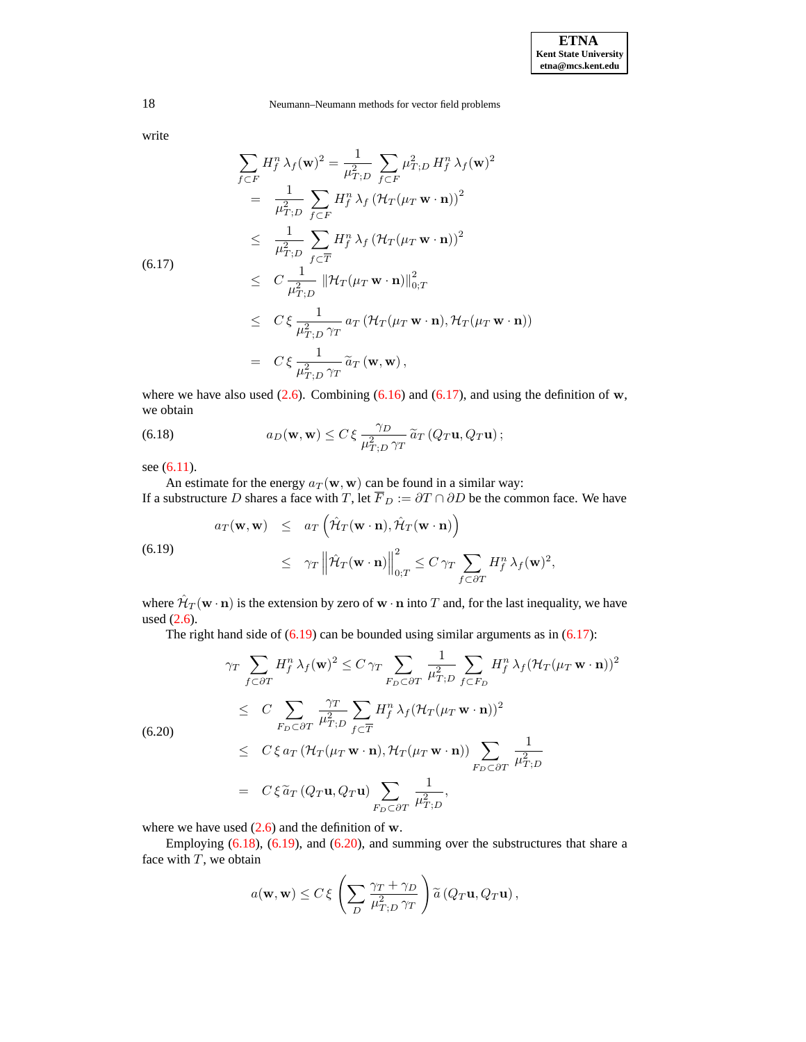write

<span id="page-17-0"></span>
$$
\sum_{f \subset F} H_f^n \lambda_f(\mathbf{w})^2 = \frac{1}{\mu_{T,D}^2} \sum_{f \subset F} \mu_{T,D}^2 H_f^n \lambda_f(\mathbf{w})^2
$$
  
\n
$$
= \frac{1}{\mu_{T,D}^2} \sum_{f \subset F} H_f^n \lambda_f (\mathcal{H}_T(\mu_T \mathbf{w} \cdot \mathbf{n}))^2
$$
  
\n
$$
\leq \frac{1}{\mu_{T,D}^2} \sum_{f \subset \overline{T}} H_f^n \lambda_f (\mathcal{H}_T(\mu_T \mathbf{w} \cdot \mathbf{n}))^2
$$
  
\n(6.17)  
\n
$$
\leq C \frac{1}{\mu_{T,D}^2} \|\mathcal{H}_T(\mu_T \mathbf{w} \cdot \mathbf{n})\|_{0,T}^2
$$
  
\n
$$
\leq C \xi \frac{1}{\mu_{T,D}^2 \gamma_T} a_T (\mathcal{H}_T(\mu_T \mathbf{w} \cdot \mathbf{n}), \mathcal{H}_T(\mu_T \mathbf{w} \cdot \mathbf{n}))
$$
  
\n
$$
= C \xi \frac{1}{\mu_{T,D}^2 \gamma_T} \widetilde{a}_T(\mathbf{w}, \mathbf{w}),
$$

where we have also used  $(2.6)$ . Combining  $(6.16)$  and  $(6.17)$ , and using the definition of w, we obtain

<span id="page-17-2"></span>(6.18) 
$$
a_D(\mathbf{w}, \mathbf{w}) \leq C \xi \frac{\gamma_D}{\mu_{T;D}^2 \gamma_T} \widetilde{a}_T (Q_T \mathbf{u}, Q_T \mathbf{u});
$$

see [\(6.11\)](#page-14-0).

An estimate for the energy  $a_T(\mathbf{w}, \mathbf{w})$  can be found in a similar way: If a substructure D shares a face with T, let  $\overline{F}_D := \partial T \cap \partial D$  be the common face. We have

<span id="page-17-1"></span>(6.19)  

$$
a_T(\mathbf{w}, \mathbf{w}) \le a_T \left( \hat{\mathcal{H}}_T(\mathbf{w} \cdot \mathbf{n}), \hat{\mathcal{H}}_T(\mathbf{w} \cdot \mathbf{n}) \right)
$$

$$
\le \gamma_T \left\| \hat{\mathcal{H}}_T(\mathbf{w} \cdot \mathbf{n}) \right\|_{0,T}^2 \le C \gamma_T \sum_{f \subset \partial T} H_f^n \lambda_f(\mathbf{w})^2,
$$

where  $\hat{\mathcal{H}}_T(\mathbf{w} \cdot \mathbf{n})$  is the extension by zero of  $\mathbf{w} \cdot \mathbf{n}$  into T and, for the last inequality, we have used [\(2.6\)](#page-4-0).

The right hand side of  $(6.19)$  can be bounded using similar arguments as in  $(6.17)$ :

<span id="page-17-3"></span>
$$
\gamma_T \sum_{f \subset \partial T} H_f^n \lambda_f(\mathbf{w})^2 \le C \gamma_T \sum_{F_D \subset \partial T} \frac{1}{\mu_{T,D}^2} \sum_{f \subset F_D} H_f^n \lambda_f(\mathcal{H}_T(\mu_T \mathbf{w} \cdot \mathbf{n}))^2
$$
  
\n
$$
\le C \sum_{F_D \subset \partial T} \frac{\gamma_T}{\mu_{T,D}^2} \sum_{f \subset \overline{T}} H_f^n \lambda_f(\mathcal{H}_T(\mu_T \mathbf{w} \cdot \mathbf{n}))^2
$$
  
\n
$$
\le C \xi a_T (\mathcal{H}_T(\mu_T \mathbf{w} \cdot \mathbf{n}), \mathcal{H}_T(\mu_T \mathbf{w} \cdot \mathbf{n})) \sum_{F_D \subset \partial T} \frac{1}{\mu_{T,D}^2}
$$
  
\n
$$
= C \xi \tilde{a}_T (Q_T \mathbf{u}, Q_T \mathbf{u}) \sum_{F_D \subset \partial T} \frac{1}{\mu_{T,D}^2},
$$

where we have used  $(2.6)$  and the definition of w.

Employing [\(6.18\)](#page-17-2), [\(6.19\)](#page-17-1), and [\(6.20\)](#page-17-3), and summing over the substructures that share a face with  $T$ , we obtain

$$
a(\mathbf{w}, \mathbf{w}) \le C \xi \left( \sum_{D} \frac{\gamma_T + \gamma_D}{\mu_{T;D}^2 \gamma_T} \right) \tilde{a} (Q_T \mathbf{u}, Q_T \mathbf{u}),
$$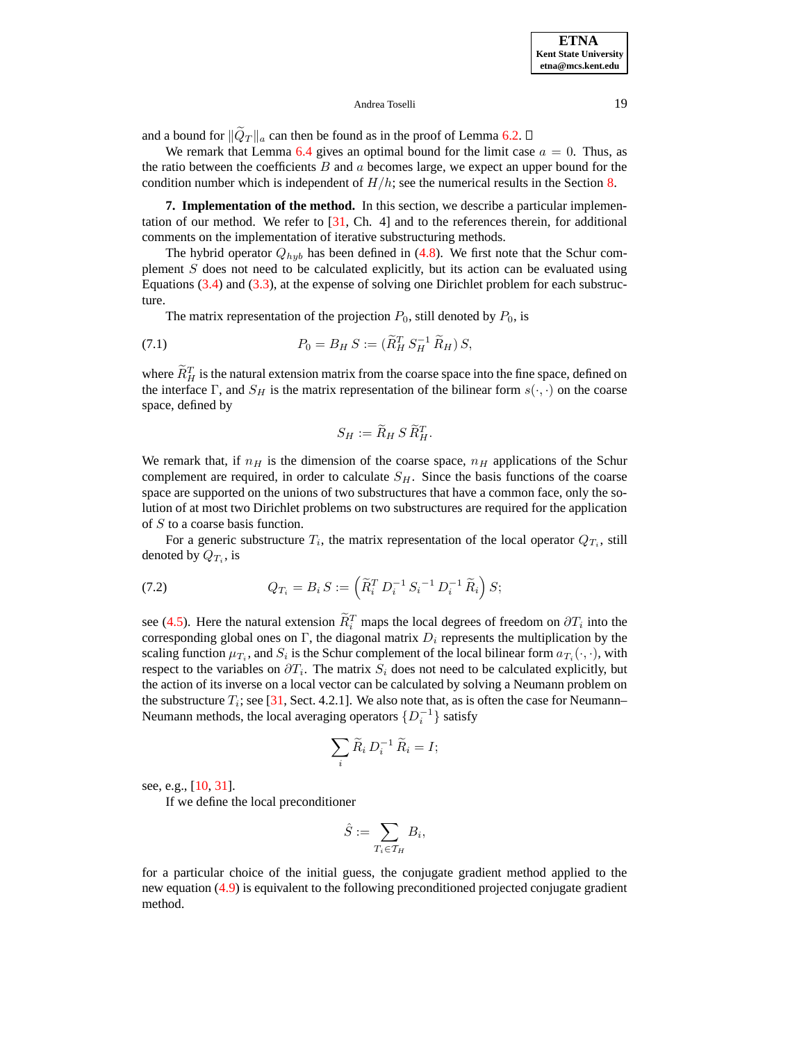and a bound for  $\|\tilde{Q}_T\|_a$  can then be found as in the proof of Lemma [6.2.](#page-12-0)  $\Box$ 

We remark that Lemma [6.4](#page-16-1) gives an optimal bound for the limit case  $a = 0$ . Thus, as the ratio between the coefficients  $B$  and  $a$  becomes large, we expect an upper bound for the condition number which is independent of  $H/h$ ; see the numerical results in the Section [8.](#page-19-0)

<span id="page-18-0"></span>**7. Implementation of the method.** In this section, we describe a particular implementation of our method. We refer to [\[31,](#page-23-7) Ch. 4] and to the references therein, for additional comments on the implementation of iterative substructuring methods.

The hybrid operator  $Q_{hyb}$  has been defined in [\(4.8\)](#page-9-2). We first note that the Schur complement  $S$  does not need to be calculated explicitly, but its action can be evaluated using Equations [\(3.4\)](#page-6-3) and [\(3.3\)](#page-6-4), at the expense of solving one Dirichlet problem for each substructure.

The matrix representation of the projection  $P_0$ , still denoted by  $P_0$ , is

(7.1) 
$$
P_0 = B_H S := (\widetilde{R}_H^T S_H^{-1} \widetilde{R}_H) S,
$$

where  $\overline{R}_{H}^{T}$  is the natural extension matrix from the coarse space into the fine space, defined on the interface Γ, and  $S_H$  is the matrix representation of the bilinear form  $s(\cdot, \cdot)$  on the coarse space, defined by

$$
S_H := \widetilde{R}_H S \widetilde{R}_H^T.
$$

We remark that, if  $n_H$  is the dimension of the coarse space,  $n_H$  applications of the Schur complement are required, in order to calculate  $S_H$ . Since the basis functions of the coarse space are supported on the unions of two substructures that have a common face, only the solution of at most two Dirichlet problems on two substructures are required for the application of S to a coarse basis function.

For a generic substructure  $T_i$ , the matrix representation of the local operator  $Q_{T_i}$ , still denoted by  $Q_{T_i}$ , is

(7.2) 
$$
Q_{T_i} = B_i S := \left( \widetilde{R}_i^T D_i^{-1} S_i^{-1} D_i^{-1} \widetilde{R}_i \right) S;
$$

see [\(4.5\)](#page-9-1). Here the natural extension  $\overline{R}_i^T$  maps the local degrees of freedom on  $\partial T_i$  into the corresponding global ones on Γ, the diagonal matrix  $D_i$  represents the multiplication by the scaling function  $\mu_{T_i}$ , and  $S_i$  is the Schur complement of the local bilinear form  $a_{T_i}(\cdot, \cdot)$ , with respect to the variables on  $\partial T_i$ . The matrix  $S_i$  does not need to be calculated explicitly, but the action of its inverse on a local vector can be calculated by solving a Neumann problem on the substructure  $T_i$ ; see [\[31,](#page-23-7) Sect. 4.2.1]. We also note that, as is often the case for Neumann– Neumann methods, the local averaging operators  $\{D_i^{-1}\}\$  satisfy

$$
\sum_i \widetilde{R}_i D_i^{-1} \widetilde{R}_i = I;
$$

see, e.g., [\[10,](#page-22-7) [31\]](#page-23-7).

If we define the local preconditioner

$$
\hat{S} := \sum_{T_i \in \mathcal{T}_H} B_i,
$$

for a particular choice of the initial guess, the conjugate gradient method applied to the new equation [\(4.9\)](#page-9-3) is equivalent to the following preconditioned projected conjugate gradient method.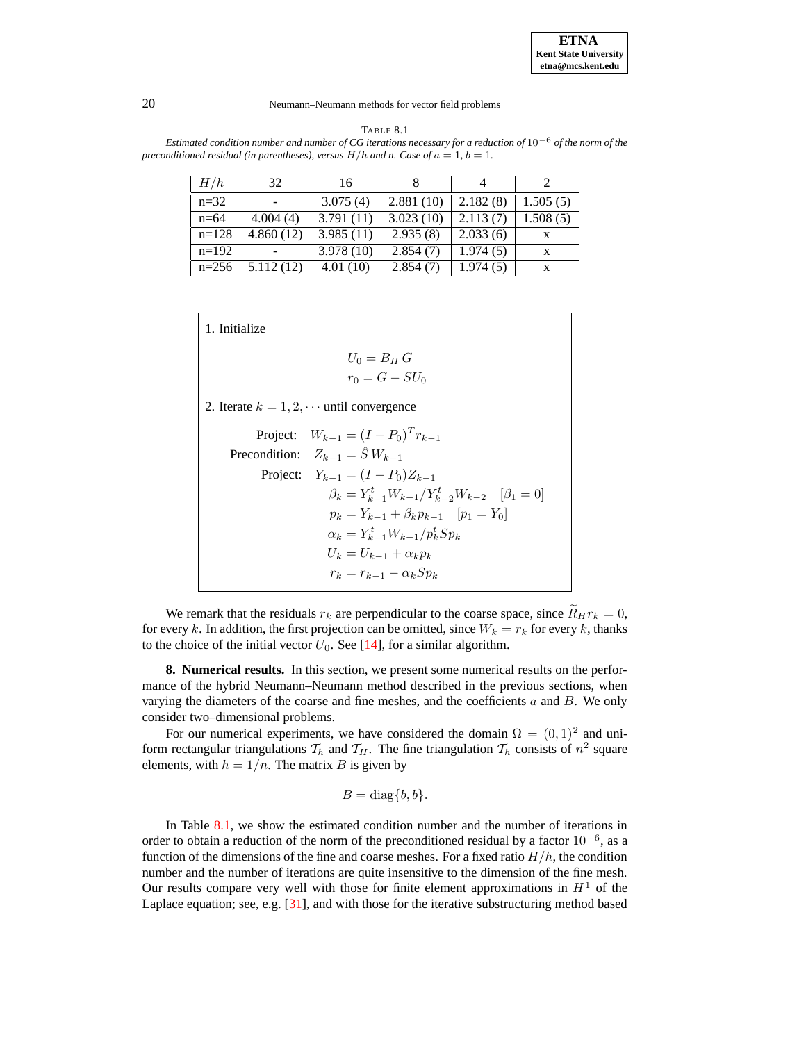

#### TABLE 8.1

<span id="page-19-1"></span>Estimated condition number and number of CG iterations necessary for a reduction of  $10^{-6}$  of the norm of the *preconditioned residual (in parentheses), versus*  $H/h$  *and n. Case of*  $a = 1$ ,  $b = 1$ *.* 

| H/h     | 32        | 16        |           |          |          |
|---------|-----------|-----------|-----------|----------|----------|
| $n=32$  |           | 3.075(4)  | 2.881(10) | 2.182(8) | 1.505(5) |
| $n=64$  | 4.004(4)  | 3.791(11) | 3.023(10) | 2.113(7) | 1.508(5) |
| $n=128$ | 4.860(12) | 3.985(11) | 2.935(8)  | 2.033(6) |          |
| $n=192$ |           | 3.978(10) | 2.854(7)  | 1.974(5) | X        |
| $n=256$ | 5.112(12) | 4.01(10)  | 2.854(7)  | 1.974(5) | X        |

1. Initialize

$$
U_0 = B_H G
$$

$$
r_0 = G - SU_0
$$

2. Iterate  $k = 1, 2, \cdots$  until convergence

Project: 
$$
W_{k-1} = (I - P_0)^T r_{k-1}
$$

\nPrecondition:  $Z_{k-1} = \hat{S} W_{k-1}$ 

\nProject:  $Y_{k-1} = (I - P_0) Z_{k-1}$ 

\n $\beta_k = Y_{k-1}^t W_{k-1} / Y_{k-2}^t W_{k-2} \quad [\beta_1 = 0]$ 

\n $p_k = Y_{k-1} + \beta_k p_{k-1} \quad [p_1 = Y_0]$ 

\n $\alpha_k = Y_{k-1}^t W_{k-1} / p_k^t S p_k$ 

\n $U_k = U_{k-1} + \alpha_k p_k$ 

\n $r_k = r_{k-1} - \alpha_k S p_k$ 

We remark that the residuals  $r_k$  are perpendicular to the coarse space, since  $R_Hr_k = 0$ , for every k. In addition, the first projection can be omitted, since  $W_k = r_k$  for every k, thanks to the choice of the initial vector  $U_0$ . See [\[14\]](#page-22-15), for a similar algorithm.

<span id="page-19-0"></span>**8. Numerical results.** In this section, we present some numerical results on the performance of the hybrid Neumann–Neumann method described in the previous sections, when varying the diameters of the coarse and fine meshes, and the coefficients  $a$  and  $B$ . We only consider two–dimensional problems.

For our numerical experiments, we have considered the domain  $\Omega = (0, 1)^2$  and uniform rectangular triangulations  $\mathcal{T}_h$  and  $\mathcal{T}_H$ . The fine triangulation  $\mathcal{T}_h$  consists of  $n^2$  square elements, with  $h = 1/n$ . The matrix B is given by

$$
B = \text{diag}\{b, b\}.
$$

In Table  $8.1$ , we show the estimated condition number and the number of iterations in order to obtain a reduction of the norm of the preconditioned residual by a factor  $10^{-6}$ , as a function of the dimensions of the fine and coarse meshes. For a fixed ratio  $H/h$ , the condition number and the number of iterations are quite insensitive to the dimension of the fine mesh. Our results compare very well with those for finite element approximations in  $H<sup>1</sup>$  of the Laplace equation; see, e.g. [\[31\]](#page-23-7), and with those for the iterative substructuring method based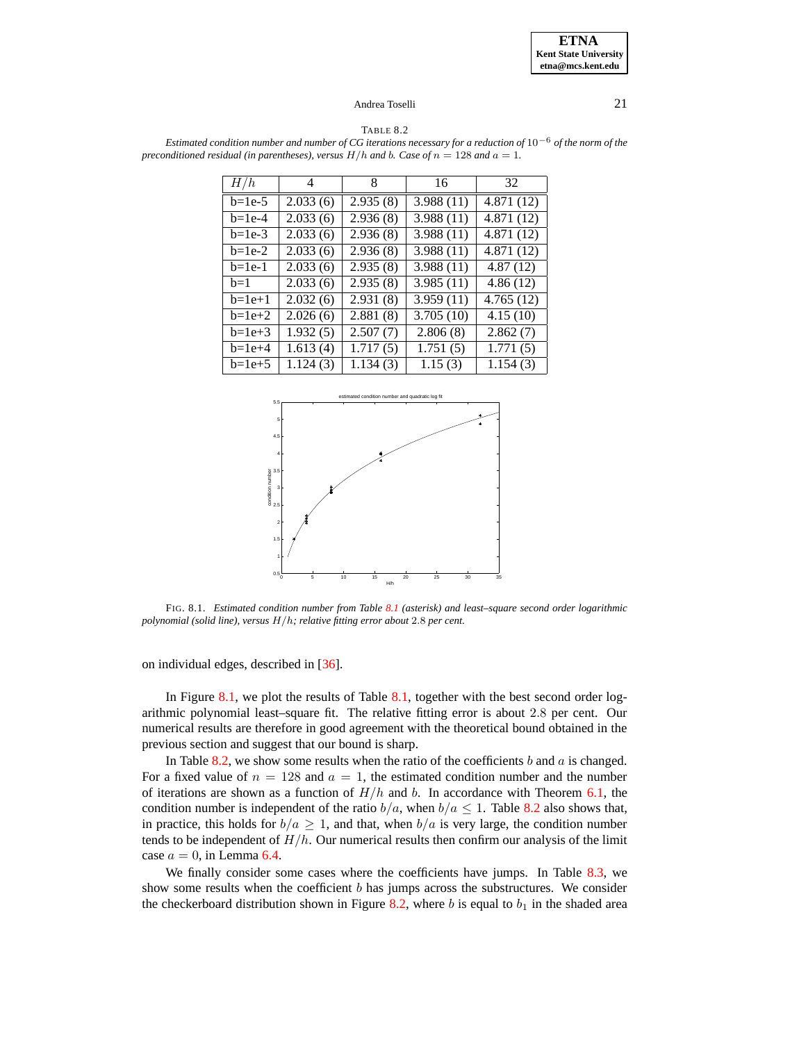TABLE 8.2

<span id="page-20-1"></span>Estimated condition number and number of CG iterations necessary for a reduction of  $10^{-6}$  of the norm of the *preconditioned residual (in parentheses), versus*  $H/h$  *and* b. *Case of*  $n = 128$  *and*  $a = 1$ *.* 

| H/h      | 4                  | 8        | 16                      | 32                      |
|----------|--------------------|----------|-------------------------|-------------------------|
| $b=1e-5$ | 2.033(6)           | 2.935(8) | 3.988(11)               | 4.871(12)               |
| $b=1e-4$ | 2.033(6)           | 2.936(8) | $\overline{3.988}$ (11) | $\overline{4.871}$ (12) |
| $b=1e-3$ | 2.033(6)           | 2.936(8) | $\overline{3.988(11)}$  | $\overline{4.871}$ (12) |
| $b=1e-2$ | 2.033(6)           | 2.936(8) | $\overline{3.988(11)}$  | 4.871(12)               |
| $b=1e-1$ | 2.033(6)           | 2.935(8) | 3.988(11)               | 4.87(12)                |
| $h=1$    | 2.033(6)           | 2.935(8) | 3.985(11)               | 4.86(12)                |
| $b=1e+1$ | 2.032(6)           | 2.931(8) | 3.959(11)               | $\overline{4.765}$ (12) |
| $b=1e+2$ | 2.026(6)           | 2.881(8) | 3.705(10)               | $\overline{4}$ .15 (10) |
| $b=1e+3$ | 1.932(5)           | 2.507(7) | 2.806(8)                | 2.862(7)                |
| $b=1e+4$ | 1.613(4)           | 1.717(5) | 1.751(5)                | 1.771(5)                |
| $b=1e+5$ | $\sqrt{1.124}$ (3) | 1.134(3) | 1.15(3)                 | 1.154(3)                |



<span id="page-20-0"></span>FIG. 8.1. *Estimated condition number from Table [8.1](#page-19-1) (asterisk) and least–square second order logarithmic polynomial (solid line), versus* H/h*; relative fitting error about* 2.8 *per cent.*

on individual edges, described in [\[36\]](#page-23-11).

In Figure [8.1,](#page-20-0) we plot the results of Table [8.1,](#page-19-1) together with the best second order logarithmic polynomial least–square fit. The relative fitting error is about 2.8 per cent. Our numerical results are therefore in good agreement with the theoretical bound obtained in the previous section and suggest that our bound is sharp.

In Table [8.2,](#page-20-1) we show some results when the ratio of the coefficients  $b$  and  $a$  is changed. For a fixed value of  $n = 128$  and  $a = 1$ , the estimated condition number and the number of iterations are shown as a function of  $H/h$  and b. In accordance with Theorem [6.1,](#page-15-3) the condition number is independent of the ratio  $b/a$ , when  $b/a \leq 1$ . Table [8.2](#page-20-1) also shows that, in practice, this holds for  $b/a \ge 1$ , and that, when  $b/a$  is very large, the condition number tends to be independent of  $H/h$ . Our numerical results then confirm our analysis of the limit case  $a = 0$ , in Lemma [6.4.](#page-16-1)

We finally consider some cases where the coefficients have jumps. In Table [8.3,](#page-21-0) we show some results when the coefficient  $b$  has jumps across the substructures. We consider the checkerboard distribution shown in Figure [8.2,](#page-21-1) where b is equal to  $b_1$  in the shaded area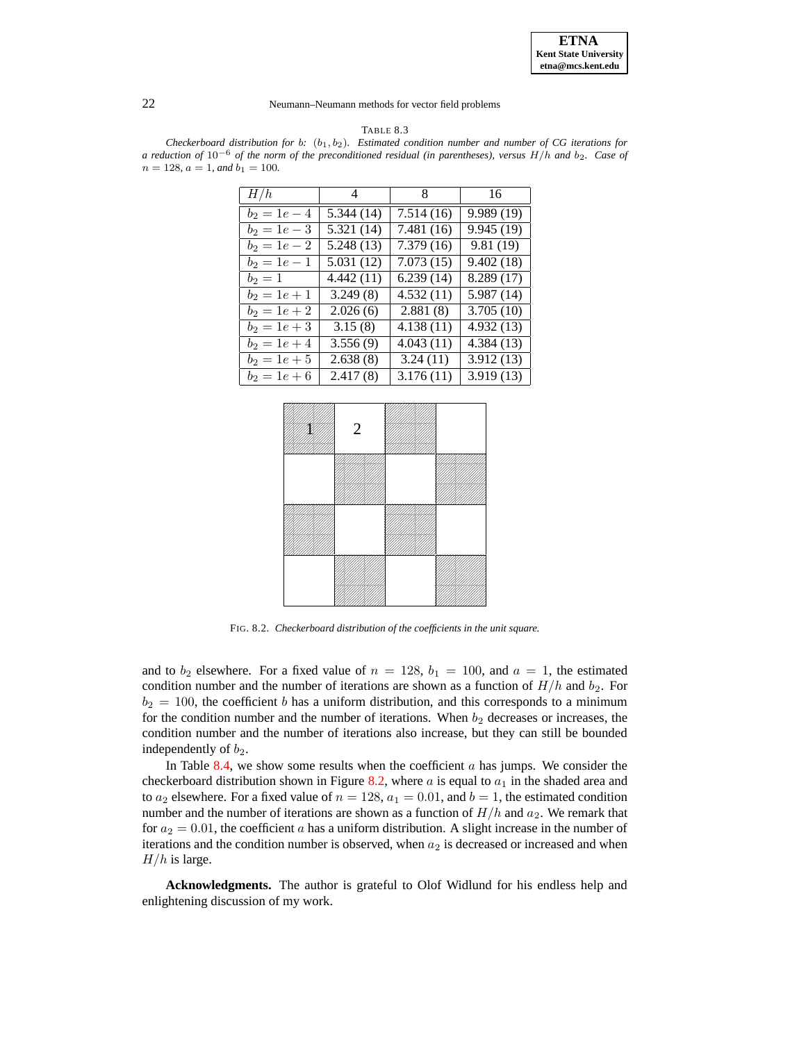TABLE 8.3

<span id="page-21-0"></span>*Checkerboard distribution for* b*:* (b1, b2)*. Estimated condition number and number of CG iterations for* a reduction of  $10^{-6}$  of the norm of the preconditioned residual (in parentheses), versus  $H/h$  and  $b_2$ . Case of  $n = 128$ ,  $a = 1$ , and  $b<sub>1</sub> = 100$ .

| H/h            | 4         | 8 <sup>8</sup> | 16                      |
|----------------|-----------|----------------|-------------------------|
| $b_2 = 1e - 4$ | 5.344(14) | 7.514(16)      | 9.989 (19)              |
| $b_2 = 1e - 3$ | 5.321(14) | 7.481 (16)     | $\overline{9.945(19)}$  |
| $b_2 = 1e - 2$ | 5.248(13) | 7.379(16)      | 9.81(19)                |
| $b_2 = 1e - 1$ | 5.031(12) | 7.073(15)      | $\overline{9.402}$ (18) |
| $b_2 = 1$      | 4.442(11) | 6.239(14)      | $\overline{8.289}$ (17) |
| $b_2 = 1e + 1$ | 3.249(8)  | 4.532(11)      | 5.987(14)               |
| $b_2 = 1e + 2$ | 2.026(6)  | 2.881(8)       | 3.705(10)               |
| $b_2 = 1e + 3$ | 3.15(8)   | 4.138(11)      | 4.932(13)               |
| $b_2 = 1e + 4$ | 3.556(9)  | 4.043(11)      | $\overline{4.384}$ (13) |
| $b_2 = 1e + 5$ | 2.638(8)  | 3.24(11)       | $\overline{3.912}$ (13) |
| $b_2 = 1e + 6$ | 2.417(8)  | 3.176(11)      | $\overline{3.919}$ (13) |



FIG. 8.2. *Checkerboard distribution of the coefficients in the unit square.*

<span id="page-21-1"></span>and to  $b_2$  elsewhere. For a fixed value of  $n = 128$ ,  $b_1 = 100$ , and  $a = 1$ , the estimated condition number and the number of iterations are shown as a function of  $H/h$  and  $b_2$ . For  $b_2 = 100$ , the coefficient b has a uniform distribution, and this corresponds to a minimum for the condition number and the number of iterations. When  $b_2$  decreases or increases, the condition number and the number of iterations also increase, but they can still be bounded independently of  $b_2$ .

In Table [8.4,](#page-22-16) we show some results when the coefficient  $a$  has jumps. We consider the checkerboard distribution shown in Figure [8.2,](#page-21-1) where  $a$  is equal to  $a_1$  in the shaded area and to  $a_2$  elsewhere. For a fixed value of  $n = 128$ ,  $a_1 = 0.01$ , and  $b = 1$ , the estimated condition number and the number of iterations are shown as a function of  $H/h$  and  $a_2$ . We remark that for  $a_2 = 0.01$ , the coefficient a has a uniform distribution. A slight increase in the number of iterations and the condition number is observed, when  $a_2$  is decreased or increased and when  $H/h$  is large.

**Acknowledgments.** The author is grateful to Olof Widlund for his endless help and enlightening discussion of my work.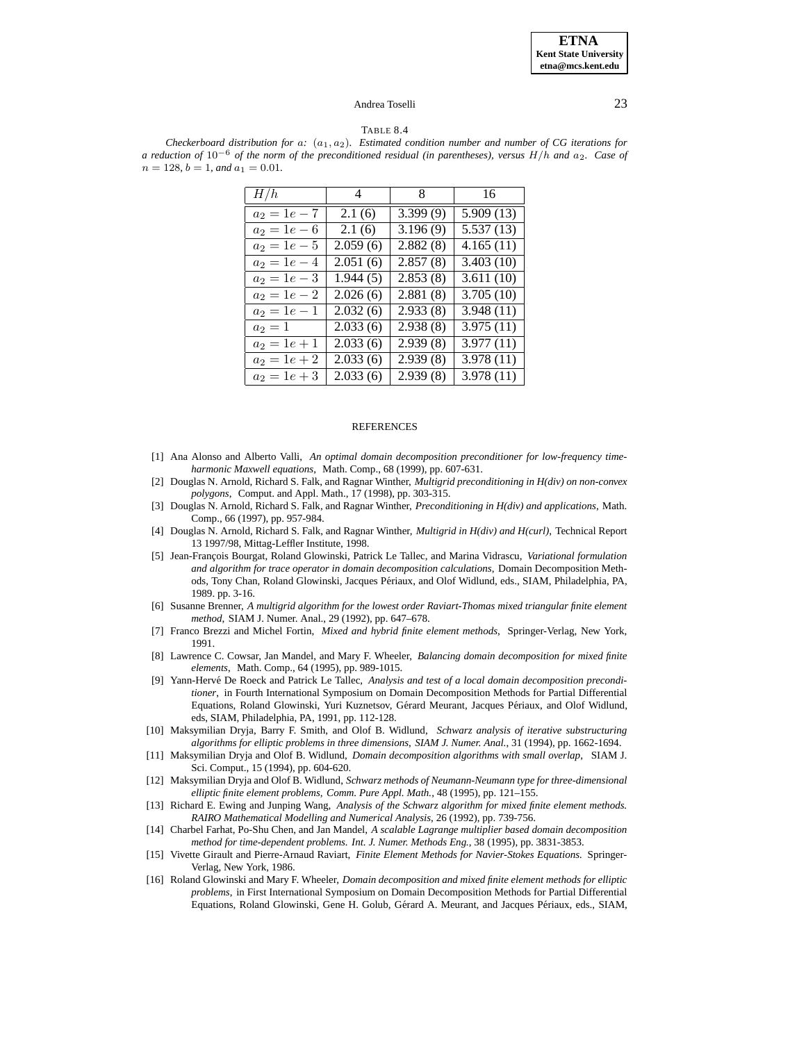#### TABLE 8.4

<span id="page-22-16"></span>*Checkerboard distribution for* a*:* (a1, a2)*. Estimated condition number and number of CG iterations for* a reduction of  $10^{-6}$  of the norm of the preconditioned residual (in parentheses), versus  $H/h$  and  $a_2$ . Case of  $n = 128$ ,  $b = 1$ , and  $a_1 = 0.01$ .

| H/h                       | $\overline{4}$ | 8                     | - 16                    |
|---------------------------|----------------|-----------------------|-------------------------|
| $a_2 = 1e - 7$            | 2.1(6)         | 3.399(9)              | $\overline{5.909}$ (13) |
| $a_2 = 1e - 6$            | 2.1(6)         | 3.196(9)              | $\overline{5.537}$ (13) |
| $\overline{a_2} = 1e - 5$ | 2.059(6)       | $2.88\overline{2(8)}$ | 4.165(11)               |
| $a_2 = 1e - 4$            | 2.051(6)       | 2.857(8)              | 3.403(10)               |
| $a_2 = 1e - 3$            | 1.944(5)       | 2.853(8)              | 3.611(10)               |
| $a_2 = 1e - 2$            | 2.026(6)       | 2.881(8)              | 3.705(10)               |
| $a_2 = 1e - 1$            | 2.032(6)       | 2.933(8)              | 3.948(11)               |
| $a_2=1$                   | 2.033(6)       | 2.938(8)              | 3.975(11)               |
| $a_2 = 1e + 1$            | 2.033(6)       | 2.939(8)              | $\overline{3.977}$ (11) |
| $\overline{a_2} = 1e + 2$ | 2.033(6)       | 2.939(8)              | 3.978(11)               |
| $a_2 = 1e + 3$            | 2.033(6)       | 2.939(8)              | 3.978(11)               |

#### **REFERENCES**

- <span id="page-22-10"></span>[1] Ana Alonso and Alberto Valli, *An optimal domain decomposition preconditioner for low-frequency timeharmonic Maxwell equations*, Math. Comp., 68 (1999), pp. 607-631.
- <span id="page-22-8"></span>[2] Douglas N. Arnold, Richard S. Falk, and Ragnar Winther, *Multigrid preconditioning in H(div) on non-convex polygons*, Comput. and Appl. Math., 17 (1998), pp. 303-315.
- <span id="page-22-0"></span>[3] Douglas N. Arnold, Richard S. Falk, and Ragnar Winther, *Preconditioning in H(div) and applications*, Math. Comp., 66 (1997), pp. 957-984.
- <span id="page-22-9"></span>[4] Douglas N. Arnold, Richard S. Falk, and Ragnar Winther, *Multigrid in H(div) and H(curl)*, Technical Report 13 1997/98, Mittag-Leffler Institute, 1998.
- <span id="page-22-3"></span>[5] Jean-François Bourgat, Roland Glowinski, Patrick Le Tallec, and Marina Vidrascu, *Variational formulation and algorithm for trace operator in domain decomposition calculations*, Domain Decomposition Methods, Tony Chan, Roland Glowinski, Jacques Périaux, and Olof Widlund, eds., SIAM, Philadelphia, PA, 1989. pp. 3-16.
- <span id="page-22-13"></span>[6] Susanne Brenner, *A multigrid algorithm for the lowest order Raviart-Thomas mixed triangular finite element method*, SIAM J. Numer. Anal., 29 (1992), pp. 647–678.
- <span id="page-22-2"></span>[7] Franco Brezzi and Michel Fortin, *Mixed and hybrid finite element methods*, Springer-Verlag, New York, 1991.
- <span id="page-22-5"></span>[8] Lawrence C. Cowsar, Jan Mandel, and Mary F. Wheeler, *Balancing domain decomposition for mixed finite elements*, Math. Comp., 64 (1995), pp. 989-1015.
- <span id="page-22-4"></span>[9] Yann-Herve´ De Roeck and Patrick Le Tallec, *Analysis and test of a local domain decomposition preconditioner*, in Fourth International Symposium on Domain Decomposition Methods for Partial Differential Equations, Roland Glowinski, Yuri Kuznetsov, Gérard Meurant, Jacques Périaux, and Olof Widlund, eds, SIAM, Philadelphia, PA, 1991, pp. 112-128.
- <span id="page-22-7"></span>[10] Maksymilian Dryja, Barry F. Smith, and Olof B. Widlund, *Schwarz analysis of iterative substructuring algorithms for elliptic problems in three dimensions*, *SIAM J. Numer. Anal.*, 31 (1994), pp. 1662-1694.
- <span id="page-22-14"></span>[11] Maksymilian Dryja and Olof B. Widlund, *Domain decomposition algorithms with small overlap*, SIAM J. Sci. Comput., 15 (1994), pp. 604-620.
- <span id="page-22-6"></span>[12] Maksymilian Dryja and Olof B. Widlund, *Schwarz methods of Neumann-Neumann type for three-dimensional elliptic finite element problems*, *Comm. Pure Appl. Math.*, 48 (1995), pp. 121–155.
- <span id="page-22-12"></span>[13] Richard E. Ewing and Junping Wang, *Analysis of the Schwarz algorithm for mixed finite element methods. RAIRO Mathematical Modelling and Numerical Analysis*, 26 (1992), pp. 739-756.
- <span id="page-22-15"></span>[14] Charbel Farhat, Po-Shu Chen, and Jan Mandel, *A scalable Lagrange multiplier based domain decomposition method for time-dependent problems. Int. J. Numer. Methods Eng.*, 38 (1995), pp. 3831-3853.
- <span id="page-22-1"></span>[15] Vivette Girault and Pierre-Arnaud Raviart, *Finite Element Methods for Navier-Stokes Equations.* Springer-Verlag, New York, 1986.
- <span id="page-22-11"></span>[16] Roland Glowinski and Mary F. Wheeler, *Domain decomposition and mixed finite element methods for elliptic problems*, in First International Symposium on Domain Decomposition Methods for Partial Differential Equations, Roland Glowinski, Gene H. Golub, Gérard A. Meurant, and Jacques Périaux, eds., SIAM,